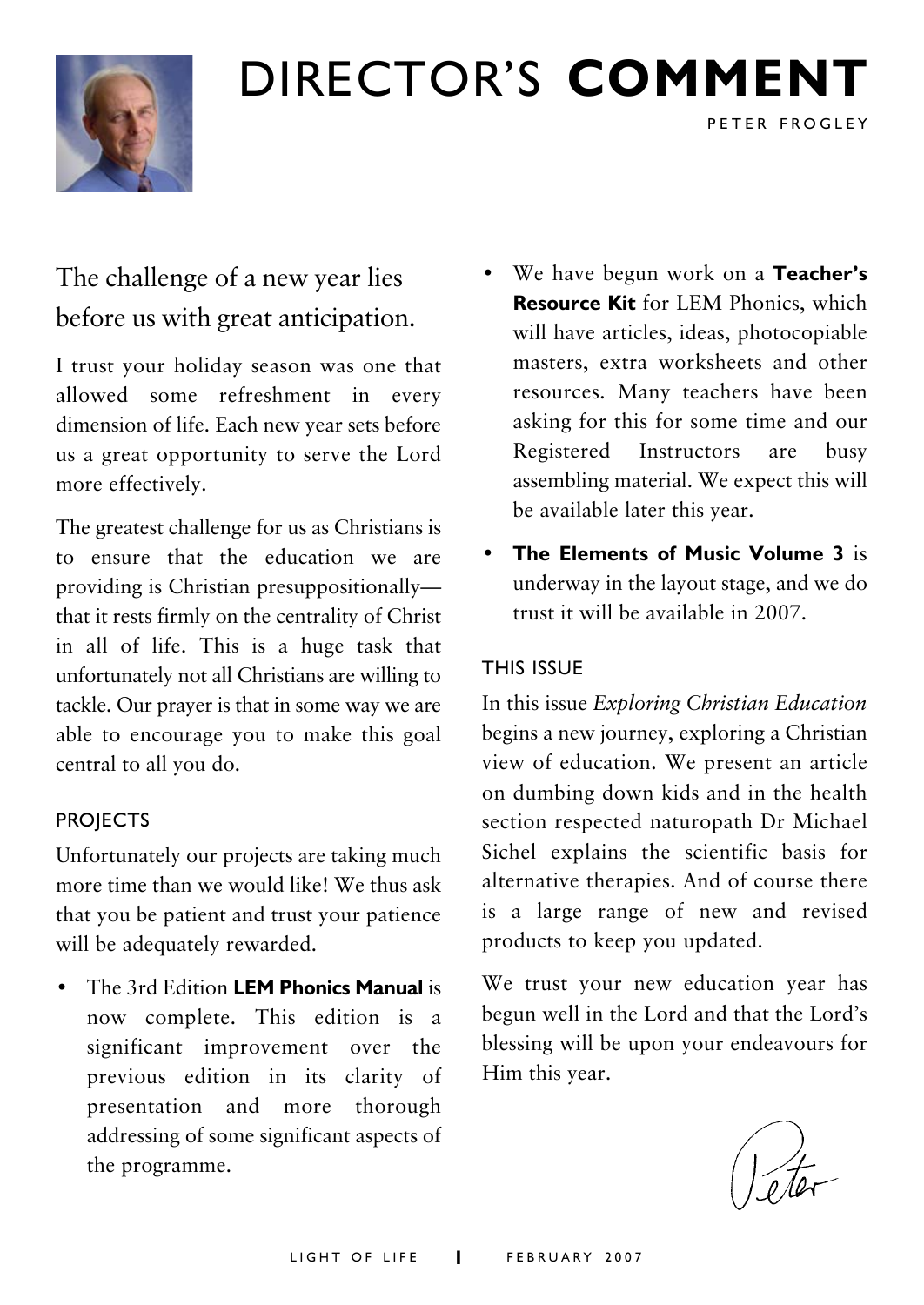

## DIRECTOR'S **COMMENT**

## The challenge of a new year lies before us with great anticipation.

I trust your holiday season was one that allowed some refreshment in every dimension of life. Each new year sets before us a great opportunity to serve the Lord more effectively.

The greatest challenge for us as Christians is to ensure that the education we are providing is Christian presuppositionally that it rests firmly on the centrality of Christ in all of life. This is a huge task that unfortunately not all Christians are willing to tackle. Our prayer is that in some way we are able to encourage you to make this goal central to all you do.

#### **PROJECTS**

Unfortunately our projects are taking much more time than we would like! We thus ask that you be patient and trust your patience will be adequately rewarded.

• The 3rd Edition **LEM Phonics Manual** is now complete. This edition is a significant improvement over the previous edition in its clarity of presentation and more thorough addressing of some significant aspects of the programme.

• We have begun work on a **Teacher's Resource Kit** for LEM Phonics, which will have articles, ideas, photocopiable masters, extra worksheets and other resources. Many teachers have been asking for this for some time and our Registered Instructors are busy assembling material. We expect this will be available later this year.

PETER FROGLEY

• **The Elements of Music Volume 3** is underway in the layout stage, and we do trust it will be available in 2007.

#### THIS ISSUE

In this issue *Exploring Christian Education* begins a new journey, exploring a Christian view of education. We present an article on dumbing down kids and in the health section respected naturopath Dr Michael Sichel explains the scientific basis for alternative therapies. And of course there is a large range of new and revised products to keep you updated.

We trust your new education year has begun well in the Lord and that the Lord's blessing will be upon your endeavours for Him this year.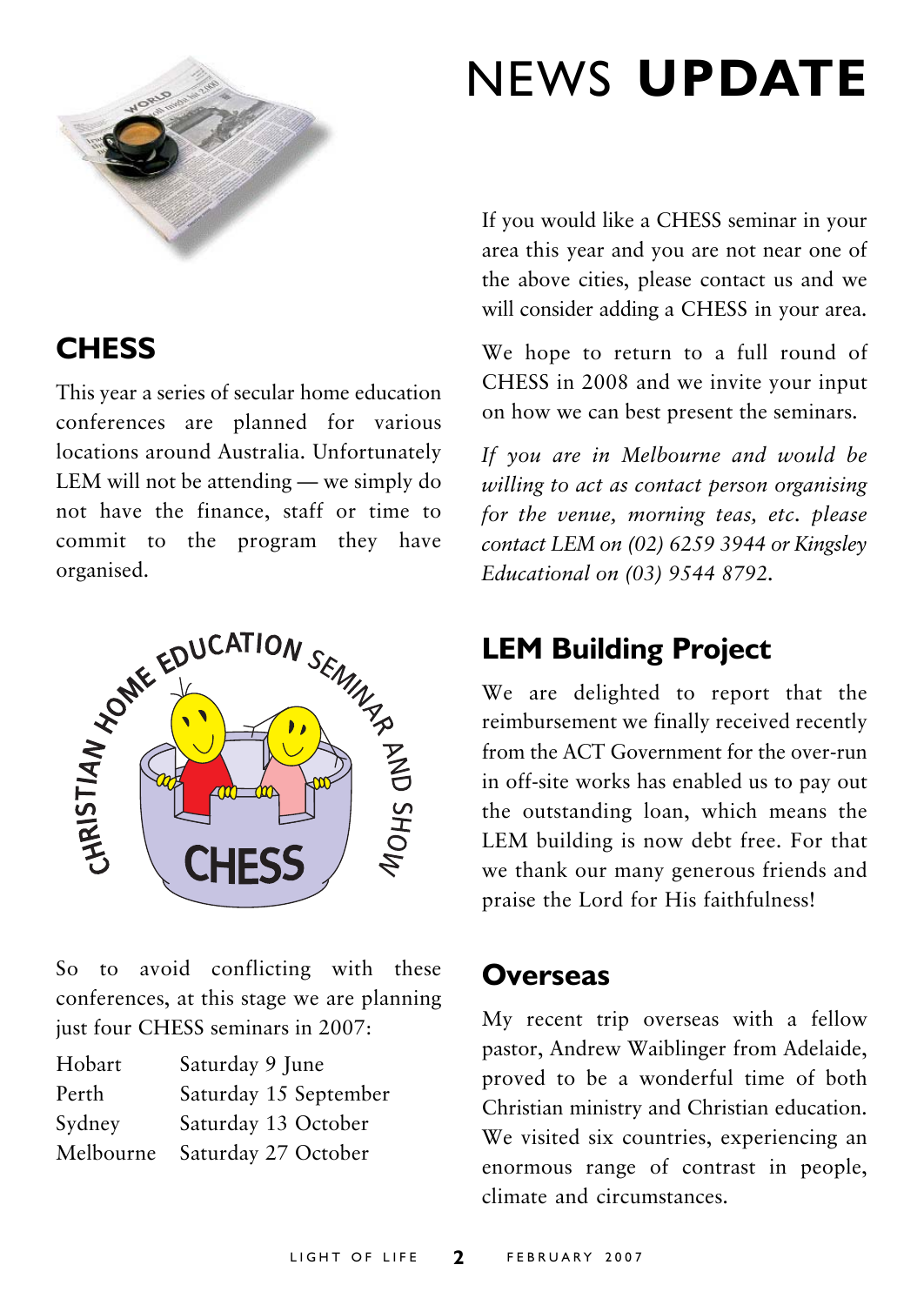

## NEWS **UPDATE**

## **CHESS**

This year a series of secular home education conferences are planned for various locations around Australia. Unfortunately LEM will not be attending — we simply do not have the finance, staff or time to commit to the program they have



So to avoid conflicting with these conferences, at this stage we are planning just four CHESS seminars in 2007:

| Hobart    | Saturday 9 June       |
|-----------|-----------------------|
| Perth     | Saturday 15 September |
| Sydney    | Saturday 13 October   |
| Melbourne | Saturday 27 October   |

If you would like a CHESS seminar in your area this year and you are not near one of the above cities, please contact us and we will consider adding a CHESS in your area.

We hope to return to a full round of CHESS in 2008 and we invite your input on how we can best present the seminars.

*If you are in Melbourne and would be willing to act as contact person organising for the venue, morning teas, etc. please contact LEM on (02) 6259 3944 or Kingsley Educational on (03) 9544 8792.*

## **LEM Building Project**

We are delighted to report that the reimbursement we finally received recently from the ACT Government for the over-run in off-site works has enabled us to pay out the outstanding loan, which means the LEM building is now debt free. For that we thank our many generous friends and praise the Lord for His faithfulness!

### **Overseas**

My recent trip overseas with a fellow pastor, Andrew Waiblinger from Adelaide, proved to be a wonderful time of both Christian ministry and Christian education. We visited six countries, experiencing an enormous range of contrast in people, climate and circumstances.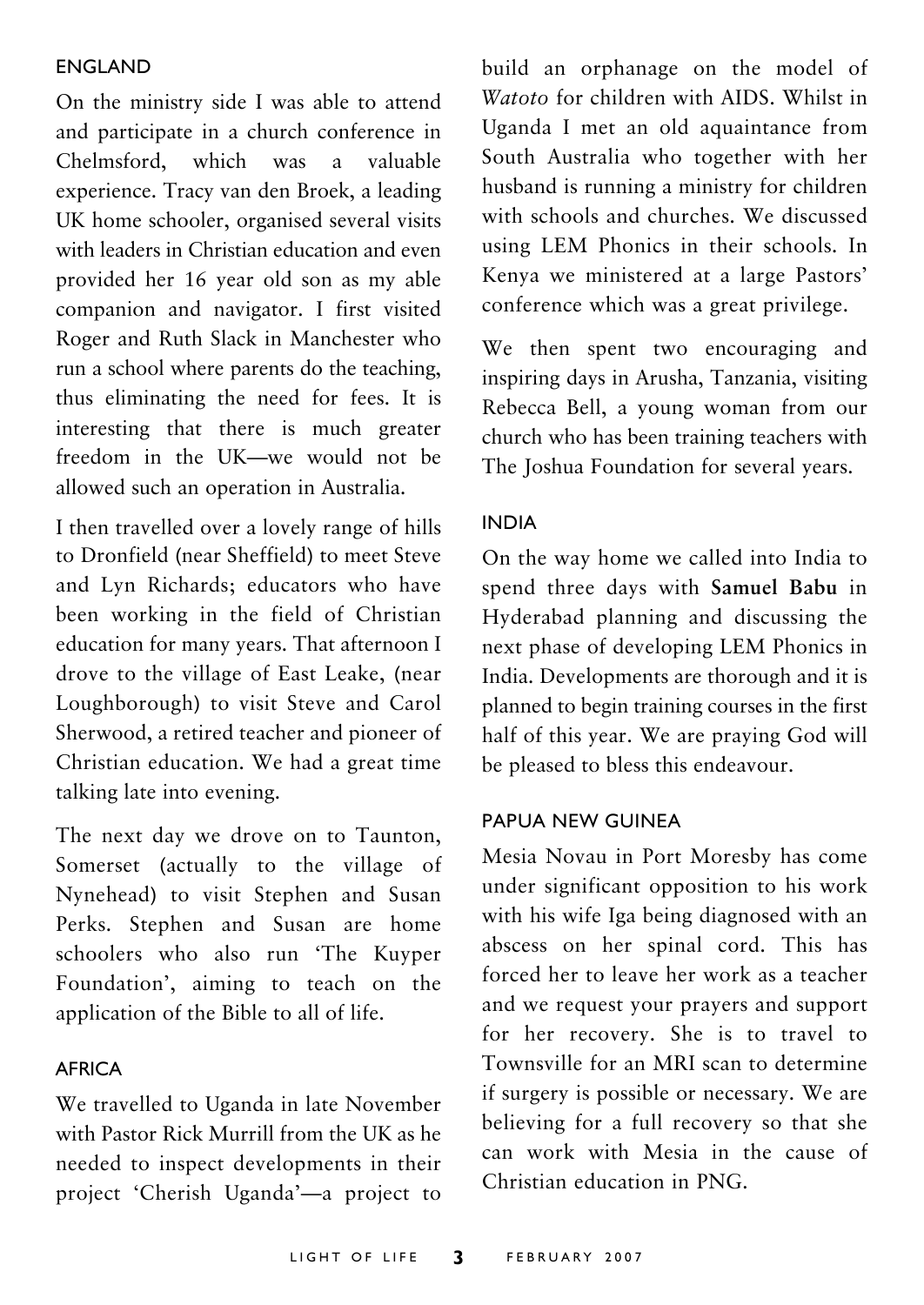#### ENGLAND

On the ministry side I was able to attend and participate in a church conference in Chelmsford, which was a valuable experience. Tracy van den Broek, a leading UK home schooler, organised several visits with leaders in Christian education and even provided her 16 year old son as my able companion and navigator. I first visited Roger and Ruth Slack in Manchester who run a school where parents do the teaching, thus eliminating the need for fees. It is interesting that there is much greater freedom in the UK—we would not be allowed such an operation in Australia.

I then travelled over a lovely range of hills to Dronfield (near Sheffield) to meet Steve and Lyn Richards; educators who have been working in the field of Christian education for many years. That afternoon I drove to the village of East Leake, (near Loughborough) to visit Steve and Carol Sherwood, a retired teacher and pioneer of Christian education. We had a great time talking late into evening.

The next day we drove on to Taunton, Somerset (actually to the village of Nynehead) to visit Stephen and Susan Perks. Stephen and Susan are home schoolers who also run 'The Kuyper Foundation', aiming to teach on the application of the Bible to all of life.

#### AFRICA

We travelled to Uganda in late November with Pastor Rick Murrill from the UK as he needed to inspect developments in their project 'Cherish Uganda'—a project to build an orphanage on the model of *Watoto* for children with AIDS. Whilst in Uganda I met an old aquaintance from South Australia who together with her husband is running a ministry for children with schools and churches. We discussed using LEM Phonics in their schools. In Kenya we ministered at a large Pastors' conference which was a great privilege.

We then spent two encouraging and inspiring days in Arusha, Tanzania, visiting Rebecca Bell, a young woman from our church who has been training teachers with The Joshua Foundation for several years.

#### INDIA

On the way home we called into India to spend three days with **Samuel Babu** in Hyderabad planning and discussing the next phase of developing LEM Phonics in India. Developments are thorough and it is planned to begin training courses in the first half of this year. We are praying God will be pleased to bless this endeavour.

#### PAPUA NEW GUINEA

Mesia Novau in Port Moresby has come under significant opposition to his work with his wife Iga being diagnosed with an abscess on her spinal cord. This has forced her to leave her work as a teacher and we request your prayers and support for her recovery. She is to travel to Townsville for an MRI scan to determine if surgery is possible or necessary. We are believing for a full recovery so that she can work with Mesia in the cause of Christian education in PNG.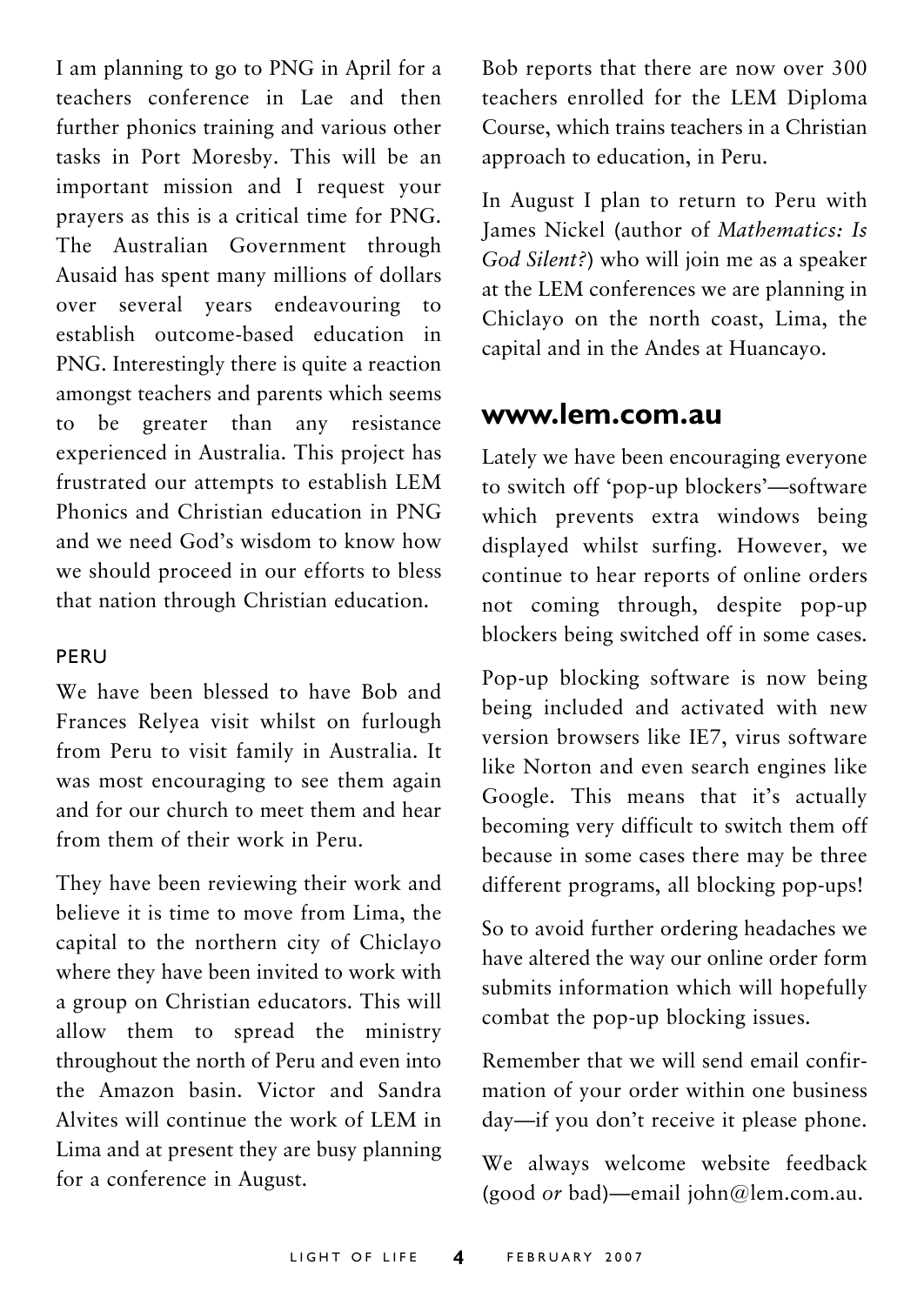I am planning to go to PNG in April for a teachers conference in Lae and then further phonics training and various other tasks in Port Moresby. This will be an important mission and I request your prayers as this is a critical time for PNG. The Australian Government through Ausaid has spent many millions of dollars over several years endeavouring to establish outcome-based education in PNG. Interestingly there is quite a reaction amongst teachers and parents which seems to be greater than any resistance experienced in Australia. This project has frustrated our attempts to establish LEM Phonics and Christian education in PNG and we need God's wisdom to know how we should proceed in our efforts to bless that nation through Christian education.

#### PERU

We have been blessed to have Bob and Frances Relyea visit whilst on furlough from Peru to visit family in Australia. It was most encouraging to see them again and for our church to meet them and hear from them of their work in Peru.

They have been reviewing their work and believe it is time to move from Lima, the capital to the northern city of Chiclayo where they have been invited to work with a group on Christian educators. This will allow them to spread the ministry throughout the north of Peru and even into the Amazon basin. Victor and Sandra Alvites will continue the work of LEM in Lima and at present they are busy planning for a conference in August.

Bob reports that there are now over 300 teachers enrolled for the LEM Diploma Course, which trains teachers in a Christian approach to education, in Peru.

In August I plan to return to Peru with James Nickel (author of *Mathematics: Is God Silent?*) who will join me as a speaker at the LEM conferences we are planning in Chiclayo on the north coast, Lima, the capital and in the Andes at Huancayo.

#### **www.lem.com.au**

Lately we have been encouraging everyone to switch off 'pop-up blockers'—software which prevents extra windows being displayed whilst surfing. However, we continue to hear reports of online orders not coming through, despite pop-up blockers being switched off in some cases.

Pop-up blocking software is now being being included and activated with new version browsers like IE7, virus software like Norton and even search engines like Google. This means that it's actually becoming very difficult to switch them off because in some cases there may be three different programs, all blocking pop-ups!

So to avoid further ordering headaches we have altered the way our online order form submits information which will hopefully combat the pop-up blocking issues.

Remember that we will send email confirmation of your order within one business day—if you don't receive it please phone.

We always welcome website feedback (good *or* bad)—email john@lem.com.au.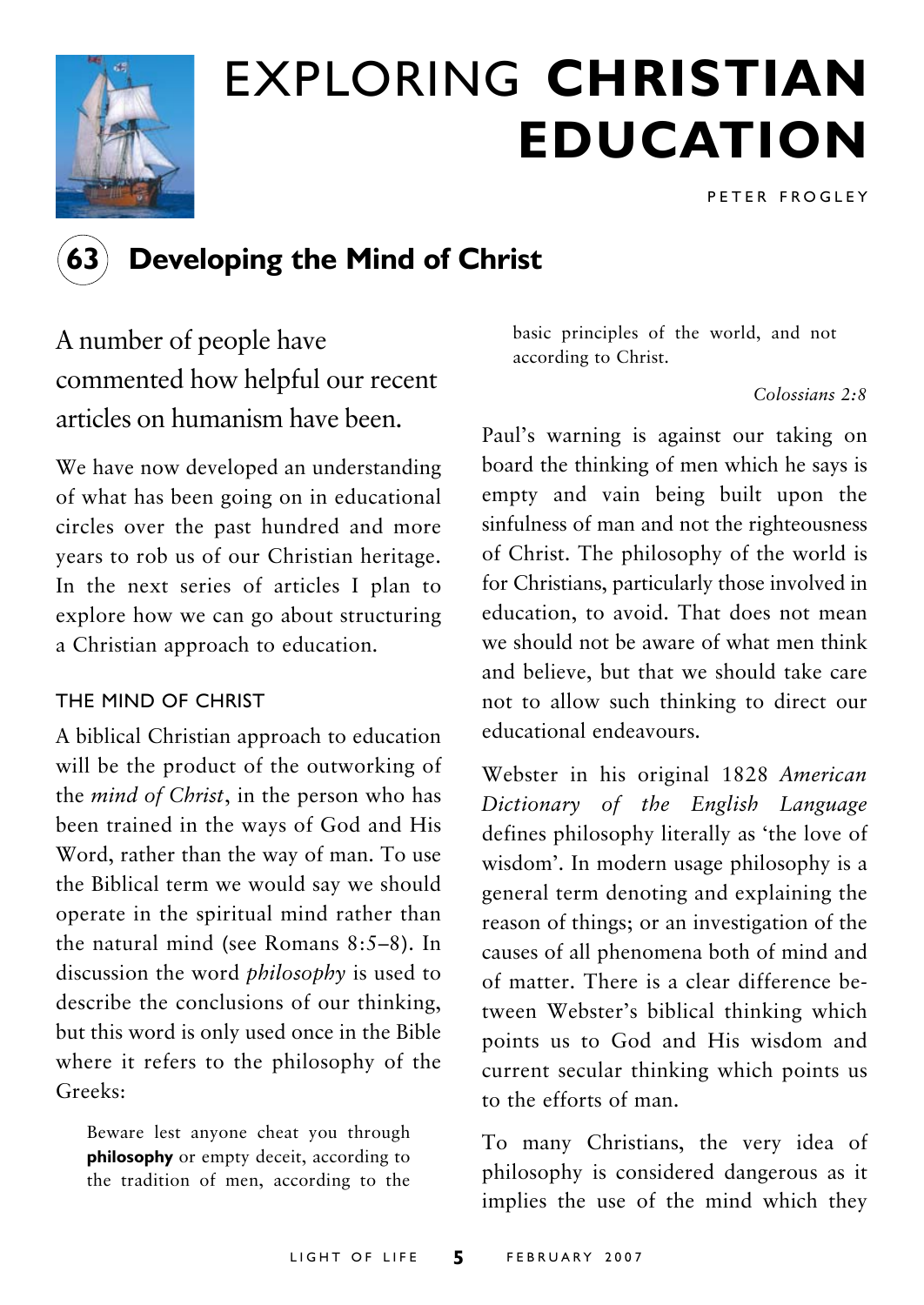

## EXPLORING **CHRISTIAN EDUCATION**

PETER FROGLEY



### **Developing the Mind of Christ**

A number of people have commented how helpful our recent articles on humanism have been.

We have now developed an understanding of what has been going on in educational circles over the past hundred and more years to rob us of our Christian heritage. In the next series of articles I plan to explore how we can go about structuring a Christian approach to education.

#### THE MIND OF CHRIST

A biblical Christian approach to education will be the product of the outworking of the *mind of Christ*, in the person who has been trained in the ways of God and His Word, rather than the way of man. To use the Biblical term we would say we should operate in the spiritual mind rather than the natural mind (see Romans 8:5–8). In discussion the word *philosophy* is used to describe the conclusions of our thinking, but this word is only used once in the Bible where it refers to the philosophy of the Greeks:

Beware lest anyone cheat you through **philosophy** or empty deceit, according to the tradition of men, according to the basic principles of the world, and not according to Christ.

*Colossians 2:8*

Paul's warning is against our taking on board the thinking of men which he says is empty and vain being built upon the sinfulness of man and not the righteousness of Christ. The philosophy of the world is for Christians, particularly those involved in education, to avoid. That does not mean we should not be aware of what men think and believe, but that we should take care not to allow such thinking to direct our educational endeavours.

Webster in his original 1828 *American Dictionary of the English Language* defines philosophy literally as 'the love of wisdom'. In modern usage philosophy is a general term denoting and explaining the reason of things; or an investigation of the causes of all phenomena both of mind and of matter. There is a clear difference between Webster's biblical thinking which points us to God and His wisdom and current secular thinking which points us to the efforts of man.

To many Christians, the very idea of philosophy is considered dangerous as it implies the use of the mind which they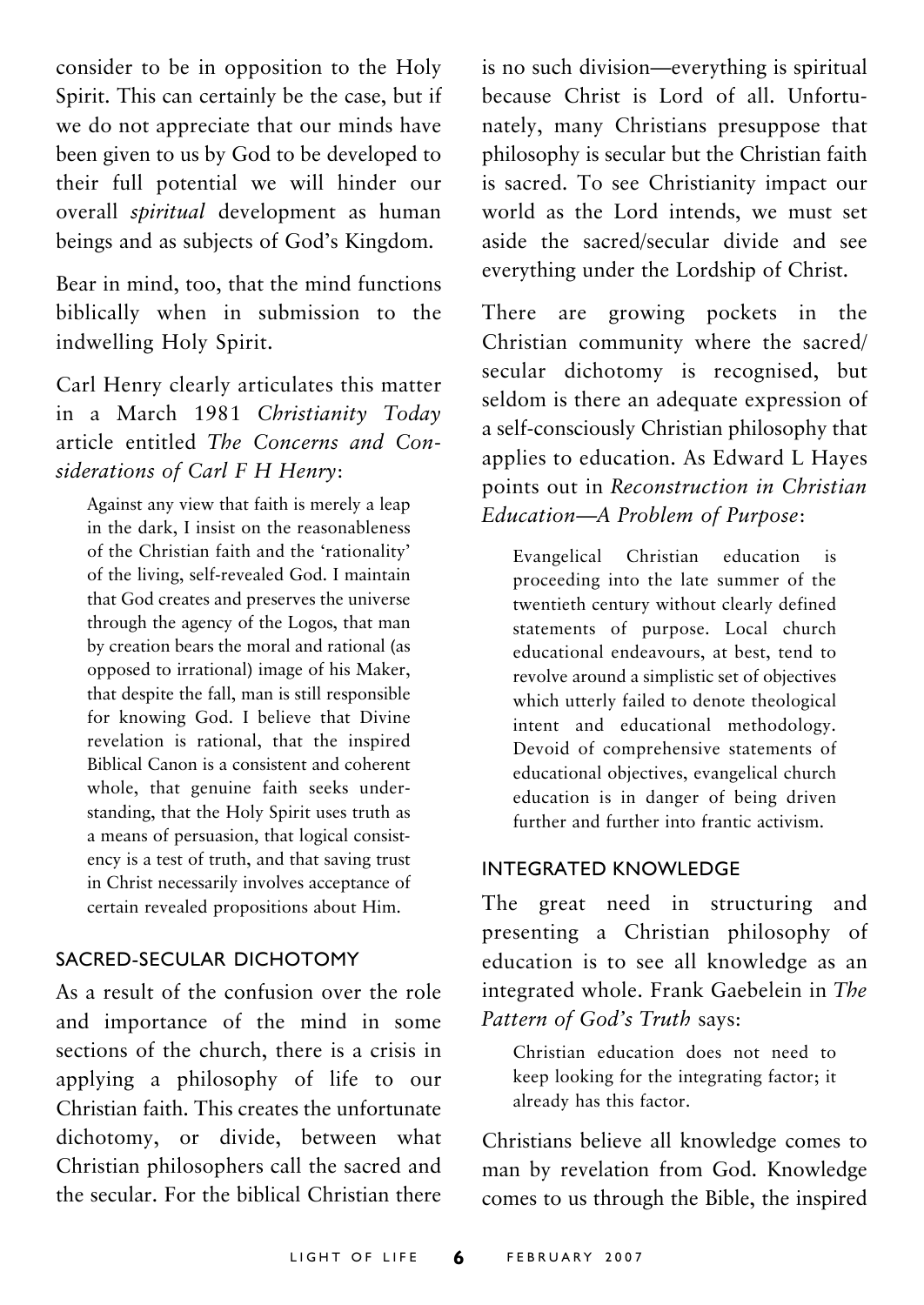consider to be in opposition to the Holy Spirit. This can certainly be the case, but if we do not appreciate that our minds have been given to us by God to be developed to their full potential we will hinder our overall *spiritual* development as human beings and as subjects of God's Kingdom.

Bear in mind, too, that the mind functions biblically when in submission to the indwelling Holy Spirit.

Carl Henry clearly articulates this matter in a March 1981 *Christianity Today* article entitled *The Concerns and Considerations of Carl F H Henry*:

Against any view that faith is merely a leap in the dark, I insist on the reasonableness of the Christian faith and the 'rationality' of the living, self-revealed God. I maintain that God creates and preserves the universe through the agency of the Logos, that man by creation bears the moral and rational (as opposed to irrational) image of his Maker, that despite the fall, man is still responsible for knowing God. I believe that Divine revelation is rational, that the inspired Biblical Canon is a consistent and coherent whole, that genuine faith seeks understanding, that the Holy Spirit uses truth as a means of persuasion, that logical consistency is a test of truth, and that saving trust in Christ necessarily involves acceptance of certain revealed propositions about Him.

#### SACRED-SECULAR DICHOTOMY

As a result of the confusion over the role and importance of the mind in some sections of the church, there is a crisis in applying a philosophy of life to our Christian faith. This creates the unfortunate dichotomy, or divide, between what Christian philosophers call the sacred and the secular. For the biblical Christian there is no such division—everything is spiritual because Christ is Lord of all. Unfortunately, many Christians presuppose that philosophy is secular but the Christian faith is sacred. To see Christianity impact our world as the Lord intends, we must set aside the sacred/secular divide and see everything under the Lordship of Christ.

There are growing pockets in the Christian community where the sacred/ secular dichotomy is recognised, but seldom is there an adequate expression of a self-consciously Christian philosophy that applies to education. As Edward L Hayes points out in *Reconstruction in Christian Education—A Problem of Purpose*:

Evangelical Christian education is proceeding into the late summer of the twentieth century without clearly defined statements of purpose. Local church educational endeavours, at best, tend to revolve around a simplistic set of objectives which utterly failed to denote theological intent and educational methodology. Devoid of comprehensive statements of educational objectives, evangelical church education is in danger of being driven further and further into frantic activism.

#### INTEGRATED KNOWLEDGE

The great need in structuring and presenting a Christian philosophy of education is to see all knowledge as an integrated whole. Frank Gaebelein in *The Pattern of God's Truth* says:

Christian education does not need to keep looking for the integrating factor; it already has this factor.

Christians believe all knowledge comes to man by revelation from God. Knowledge comes to us through the Bible, the inspired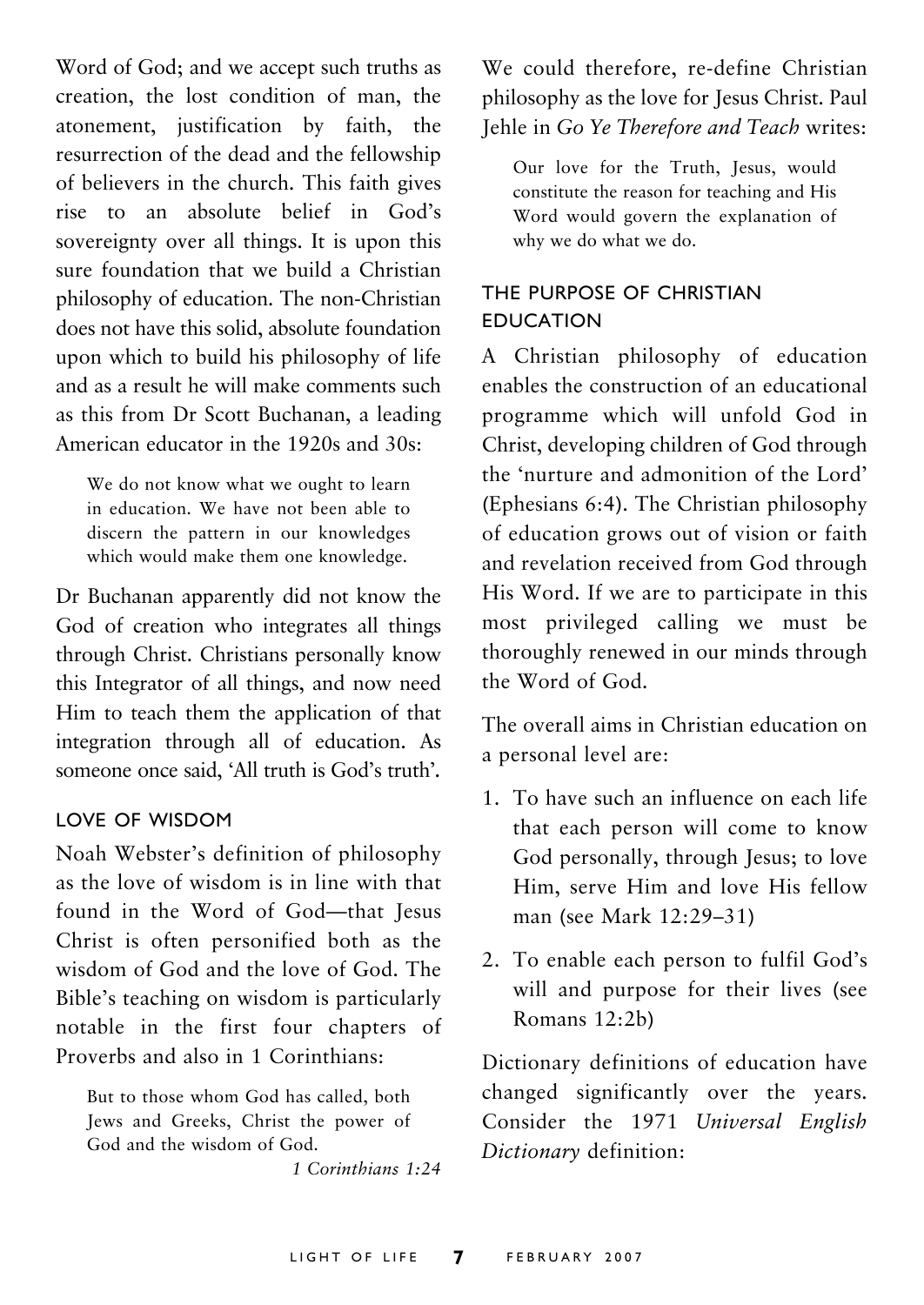Word of God; and we accept such truths as creation, the lost condition of man, the atonement, justification by faith, the resurrection of the dead and the fellowship of believers in the church. This faith gives rise to an absolute belief in God's sovereignty over all things. It is upon this sure foundation that we build a Christian philosophy of education. The non-Christian does not have this solid, absolute foundation upon which to build his philosophy of life and as a result he will make comments such as this from Dr Scott Buchanan, a leading American educator in the 1920s and 30s:

We do not know what we ought to learn in education. We have not been able to discern the pattern in our knowledges which would make them one knowledge.

Dr Buchanan apparently did not know the God of creation who integrates all things through Christ. Christians personally know this Integrator of all things, and now need Him to teach them the application of that integration through all of education. As someone once said, 'All truth is God's truth'*.*

#### LOVE OF WISDOM

Noah Webster's definition of philosophy as the love of wisdom is in line with that found in the Word of God—that Jesus Christ is often personified both as the wisdom of God and the love of God. The Bible's teaching on wisdom is particularly notable in the first four chapters of Proverbs and also in 1 Corinthians:

But to those whom God has called, both Jews and Greeks, Christ the power of God and the wisdom of God.

*1 Corinthians 1:24*

We could therefore, re-define Christian philosophy as the love for Jesus Christ. Paul Jehle in *Go Ye Therefore and Teach* writes:

Our love for the Truth, Jesus, would constitute the reason for teaching and His Word would govern the explanation of why we do what we do.

#### THE PURPOSE OF CHRISTIAN EDUCATION

A Christian philosophy of education enables the construction of an educational programme which will unfold God in Christ, developing children of God through the 'nurture and admonition of the Lord' (Ephesians 6:4). The Christian philosophy of education grows out of vision or faith and revelation received from God through His Word. If we are to participate in this most privileged calling we must be thoroughly renewed in our minds through the Word of God.

The overall aims in Christian education on a personal level are:

- 1. To have such an influence on each life that each person will come to know God personally, through Jesus; to love Him, serve Him and love His fellow man (see Mark 12:29–31)
- 2. To enable each person to fulfil God's will and purpose for their lives (see Romans 12:2b)

Dictionary definitions of education have changed significantly over the years. Consider the 1971 *Universal English Dictionary* definition: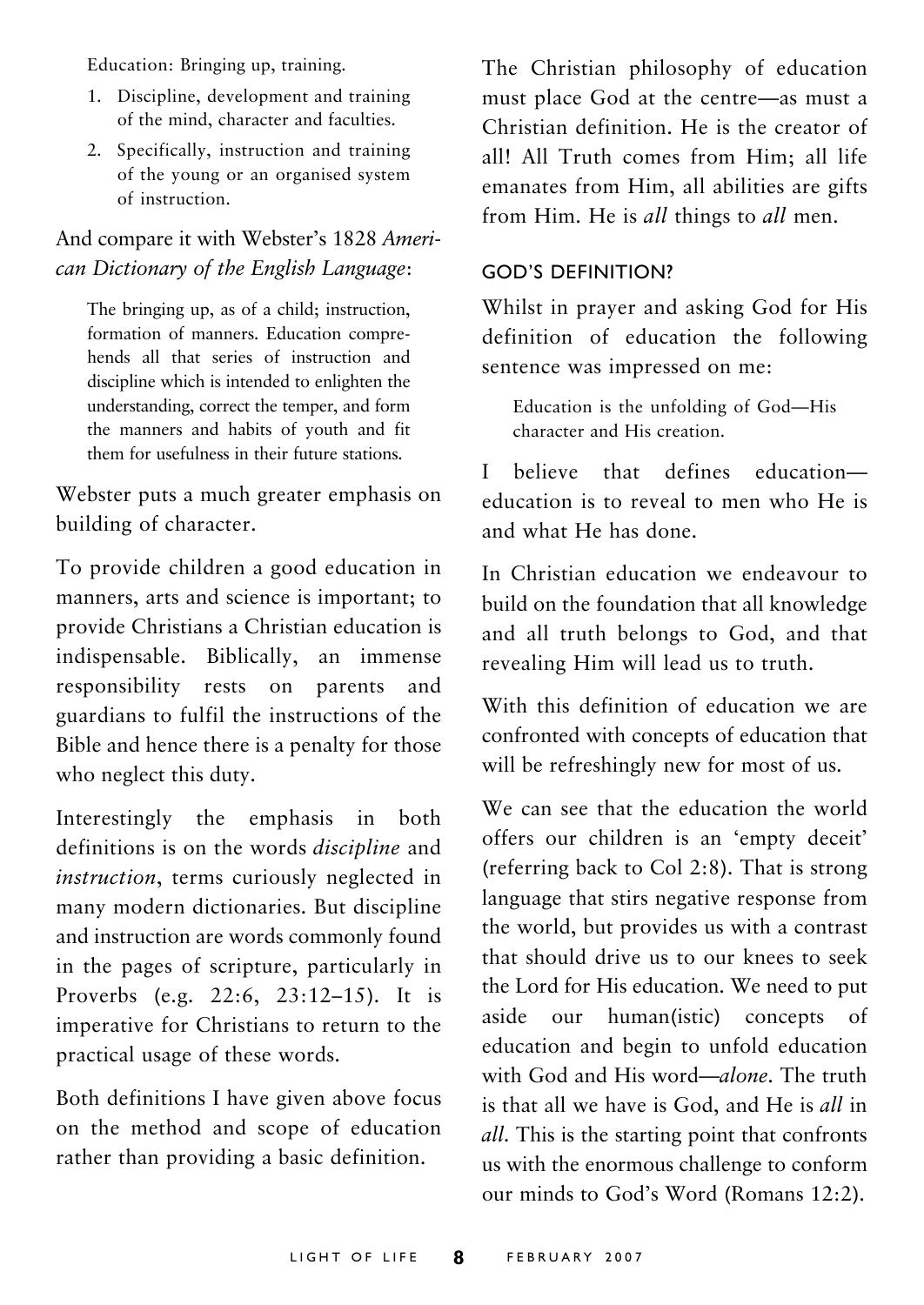Education: Bringing up, training.

- 1. Discipline, development and training of the mind, character and faculties.
- 2. Specifically, instruction and training of the young or an organised system of instruction.

#### And compare it with Webster's 1828 *American Dictionary of the English Language*:

The bringing up, as of a child; instruction, formation of manners. Education comprehends all that series of instruction and discipline which is intended to enlighten the understanding, correct the temper, and form the manners and habits of youth and fit them for usefulness in their future stations.

Webster puts a much greater emphasis on building of character.

To provide children a good education in manners, arts and science is important; to provide Christians a Christian education is indispensable. Biblically, an immense responsibility rests on parents and guardians to fulfil the instructions of the Bible and hence there is a penalty for those who neglect this duty.

Interestingly the emphasis in both definitions is on the words *discipline* and *instruction*, terms curiously neglected in many modern dictionaries. But discipline and instruction are words commonly found in the pages of scripture, particularly in Proverbs (e.g. 22:6, 23:12–15). It is imperative for Christians to return to the practical usage of these words.

Both definitions I have given above focus on the method and scope of education rather than providing a basic definition.

The Christian philosophy of education must place God at the centre—as must a Christian definition. He is the creator of all! All Truth comes from Him; all life emanates from Him, all abilities are gifts from Him. He is *all* things to *all* men.

#### GOD'S DEFINITION?

Whilst in prayer and asking God for His definition of education the following sentence was impressed on me:

Education is the unfolding of God—His character and His creation.

I believe that defines education education is to reveal to men who He is and what He has done.

In Christian education we endeavour to build on the foundation that all knowledge and all truth belongs to God, and that revealing Him will lead us to truth.

With this definition of education we are confronted with concepts of education that will be refreshingly new for most of us.

We can see that the education the world offers our children is an 'empty deceit' (referring back to Col 2:8). That is strong language that stirs negative response from the world, but provides us with a contrast that should drive us to our knees to seek the Lord for His education. We need to put aside our human(istic) concepts of education and begin to unfold education with God and His word—*alone*. The truth is that all we have is God, and He is *all* in *all*. This is the starting point that confronts us with the enormous challenge to conform our minds to God's Word (Romans 12:2).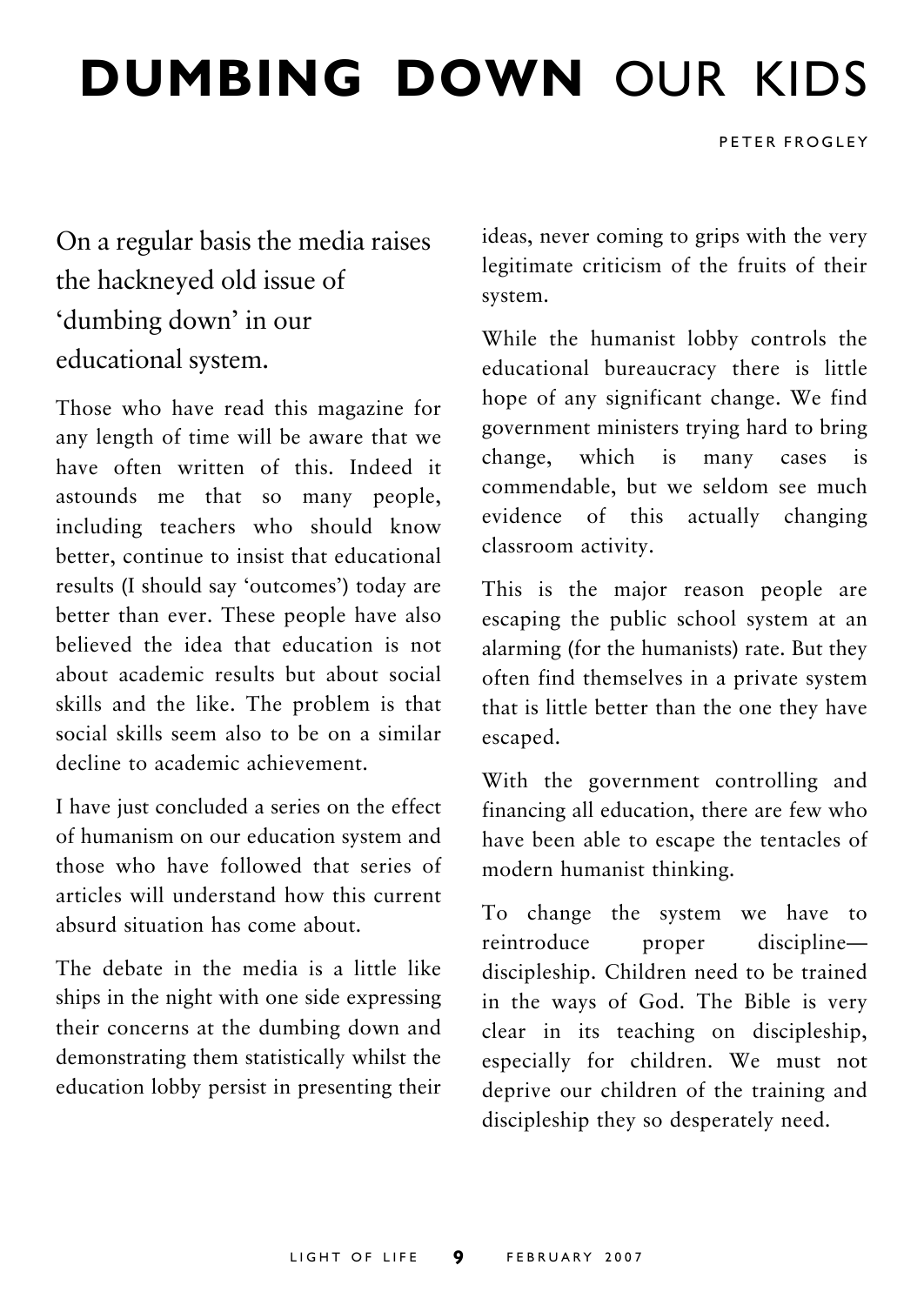## **DUMBING DOWN** OUR KIDS

PETER FROGLEY

On a regular basis the media raises the hackneyed old issue of 'dumbing down' in our educational system.

Those who have read this magazine for any length of time will be aware that we have often written of this. Indeed it astounds me that so many people, including teachers who should know better, continue to insist that educational results (I should say 'outcomes') today are better than ever. These people have also believed the idea that education is not about academic results but about social skills and the like. The problem is that social skills seem also to be on a similar decline to academic achievement.

I have just concluded a series on the effect of humanism on our education system and those who have followed that series of articles will understand how this current absurd situation has come about.

The debate in the media is a little like ships in the night with one side expressing their concerns at the dumbing down and demonstrating them statistically whilst the education lobby persist in presenting their ideas, never coming to grips with the very legitimate criticism of the fruits of their system.

While the humanist lobby controls the educational bureaucracy there is little hope of any significant change. We find government ministers trying hard to bring change, which is many cases is commendable, but we seldom see much evidence of this actually changing classroom activity.

This is the major reason people are escaping the public school system at an alarming (for the humanists) rate. But they often find themselves in a private system that is little better than the one they have escaped.

With the government controlling and financing all education, there are few who have been able to escape the tentacles of modern humanist thinking.

To change the system we have to reintroduce proper discipline discipleship. Children need to be trained in the ways of God. The Bible is very clear in its teaching on discipleship, especially for children. We must not deprive our children of the training and discipleship they so desperately need.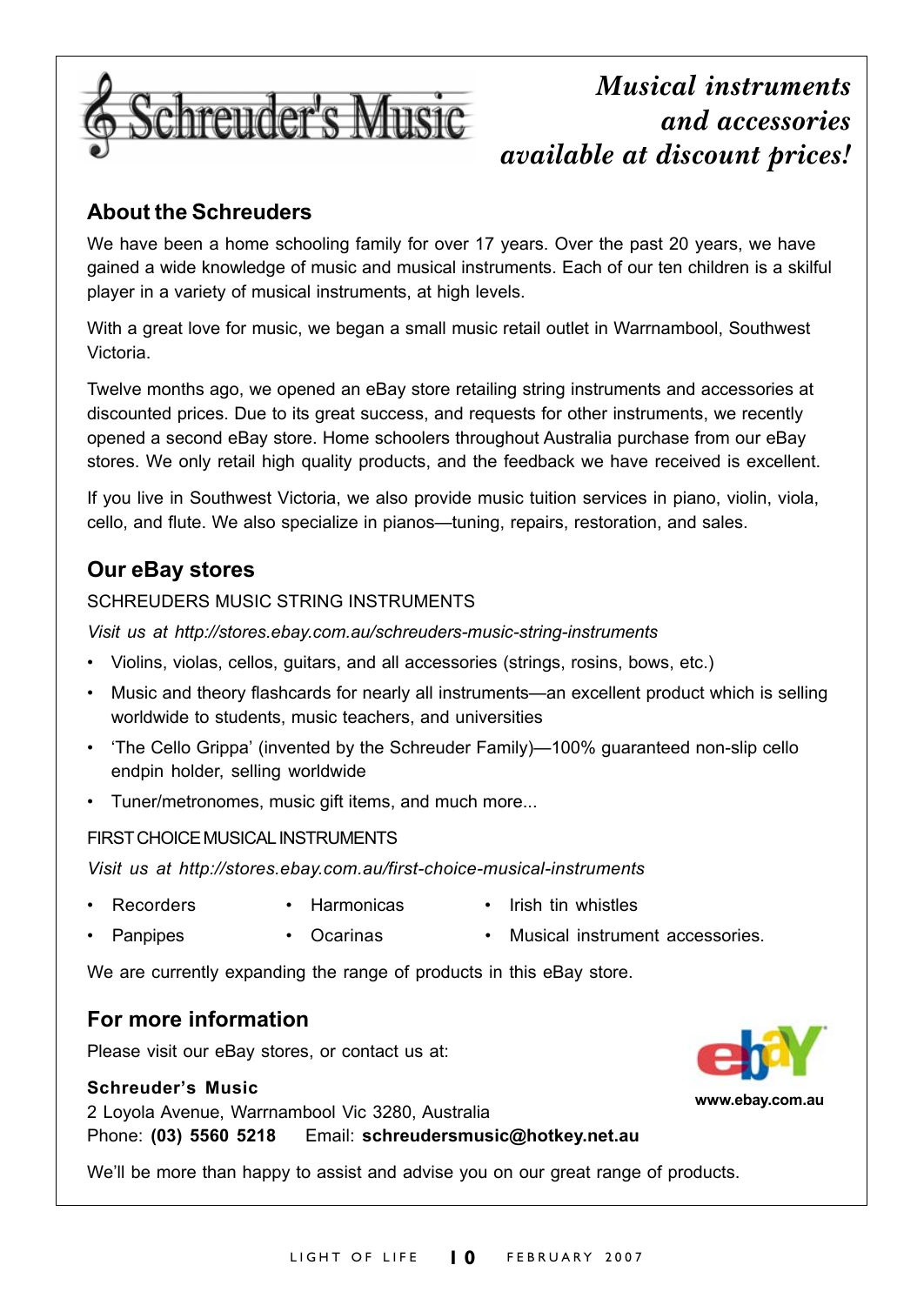

### *Musical instruments and accessories available at discount prices!*

#### **About the Schreuders**

We have been a home schooling family for over 17 years. Over the past 20 years, we have gained a wide knowledge of music and musical instruments. Each of our ten children is a skilful player in a variety of musical instruments, at high levels.

With a great love for music, we began a small music retail outlet in Warrnambool, Southwest Victoria.

Twelve months ago, we opened an eBay store retailing string instruments and accessories at discounted prices. Due to its great success, and requests for other instruments, we recently opened a second eBay store. Home schoolers throughout Australia purchase from our eBay stores. We only retail high quality products, and the feedback we have received is excellent.

If you live in Southwest Victoria, we also provide music tuition services in piano, violin, viola, cello, and flute. We also specialize in pianos—tuning, repairs, restoration, and sales.

#### **Our eBay stores**

#### SCHREUDERS MUSIC STRING INSTRUMENTS

*Visit us at http://stores.ebay.com.au/schreuders-music-string-instruments*

- Violins, violas, cellos, guitars, and all accessories (strings, rosins, bows, etc.)
- Music and theory flashcards for nearly all instruments—an excellent product which is selling worldwide to students, music teachers, and universities
- 'The Cello Grippa' (invented by the Schreuder Family)—100% guaranteed non-slip cello endpin holder, selling worldwide
- Tuner/metronomes, music gift items, and much more...

#### FIRST CHOICE MUSICAL INSTRUMENTS

*Visit us at http://stores.ebay.com.au/first-choice-musical-instruments*

- Recorders Harmonicas Irish tin whistles
- Panpipes Ocarinas Musical instrument accessories.

We are currently expanding the range of products in this eBay store.

#### **For more information**

Please visit our eBay stores, or contact us at:

#### **Schreuder's Music**

2 Loyola Avenue, Warrnambool Vic 3280, Australia

Phone: **(03) 5560 5218** Email: **schreudersmusic@hotkey.net.au**

We'll be more than happy to assist and advise you on our great range of products.

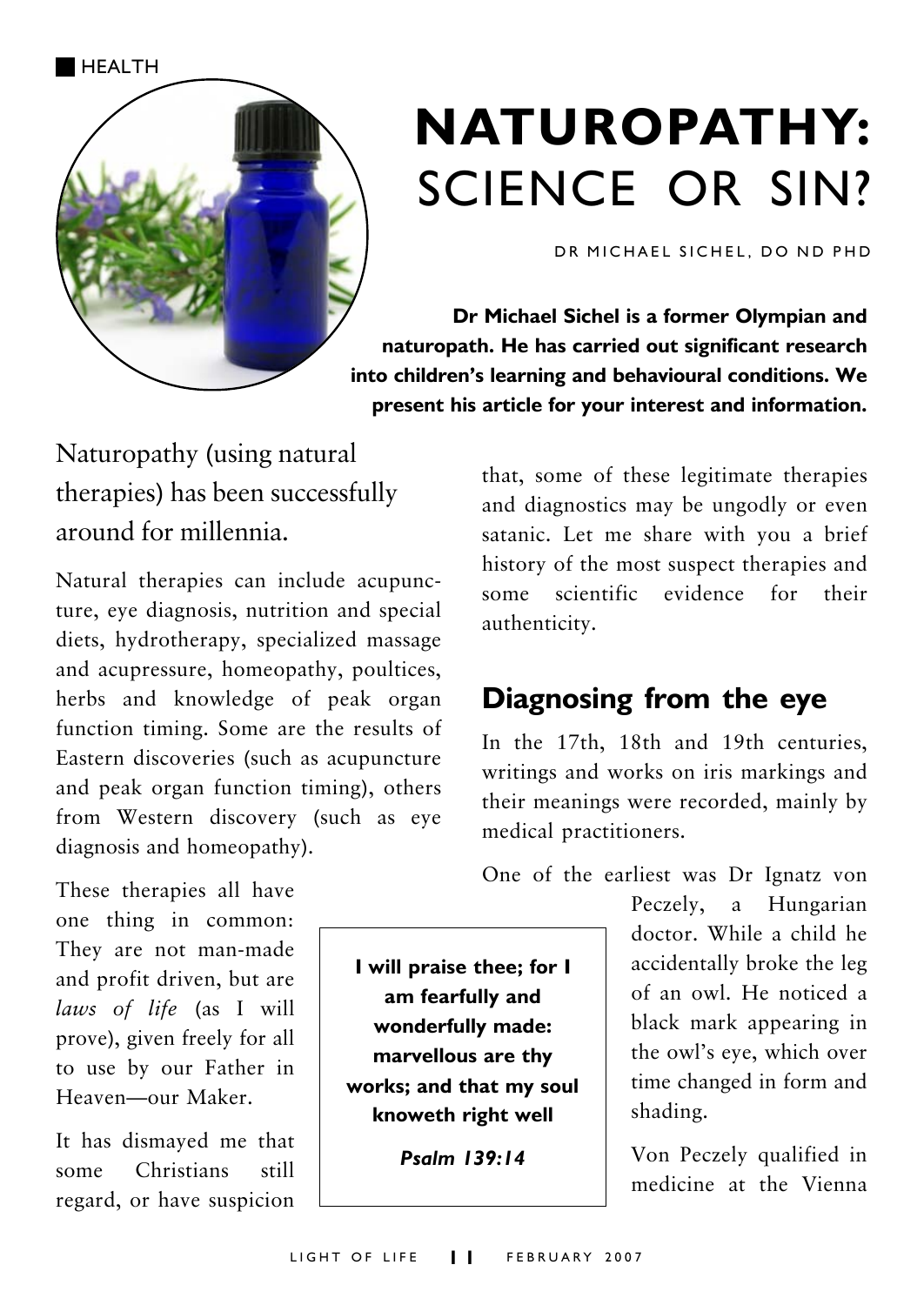

## **NATUROPATHY:** SCIENCE OR SIN?

DR MICHAEL SICHEL, DO ND PHD

**Dr Michael Sichel is a former Olympian and naturopath. He has carried out significant research into children's learning and behavioural conditions. We present his article for your interest and information.**

Naturopathy (using natural therapies) has been successfully around for millennia.

Natural therapies can include acupuncture, eye diagnosis, nutrition and special diets, hydrotherapy, specialized massage and acupressure, homeopathy, poultices, herbs and knowledge of peak organ function timing. Some are the results of Eastern discoveries (such as acupuncture and peak organ function timing), others from Western discovery (such as eye diagnosis and homeopathy).

These therapies all have one thing in common: They are not man-made and profit driven, but are *laws of life* (as I will prove), given freely for all to use by our Father in Heaven—our Maker.

It has dismayed me that some Christians still regard, or have suspicion

that, some of these legitimate therapies and diagnostics may be ungodly or even satanic. Let me share with you a brief history of the most suspect therapies and some scientific evidence for their authenticity.

## **Diagnosing from the eye**

In the 17th, 18th and 19th centuries, writings and works on iris markings and their meanings were recorded, mainly by medical practitioners.

One of the earliest was Dr Ignatz von

Peczely, a Hungarian doctor. While a child he accidentally broke the leg of an owl. He noticed a black mark appearing in the owl's eye, which over time changed in form and shading.

Von Peczely qualified in medicine at the Vienna

**I will praise thee; for I am fearfully and wonderfully made: marvellous are thy works; and that my soul knoweth right well**

*Psalm 139:14*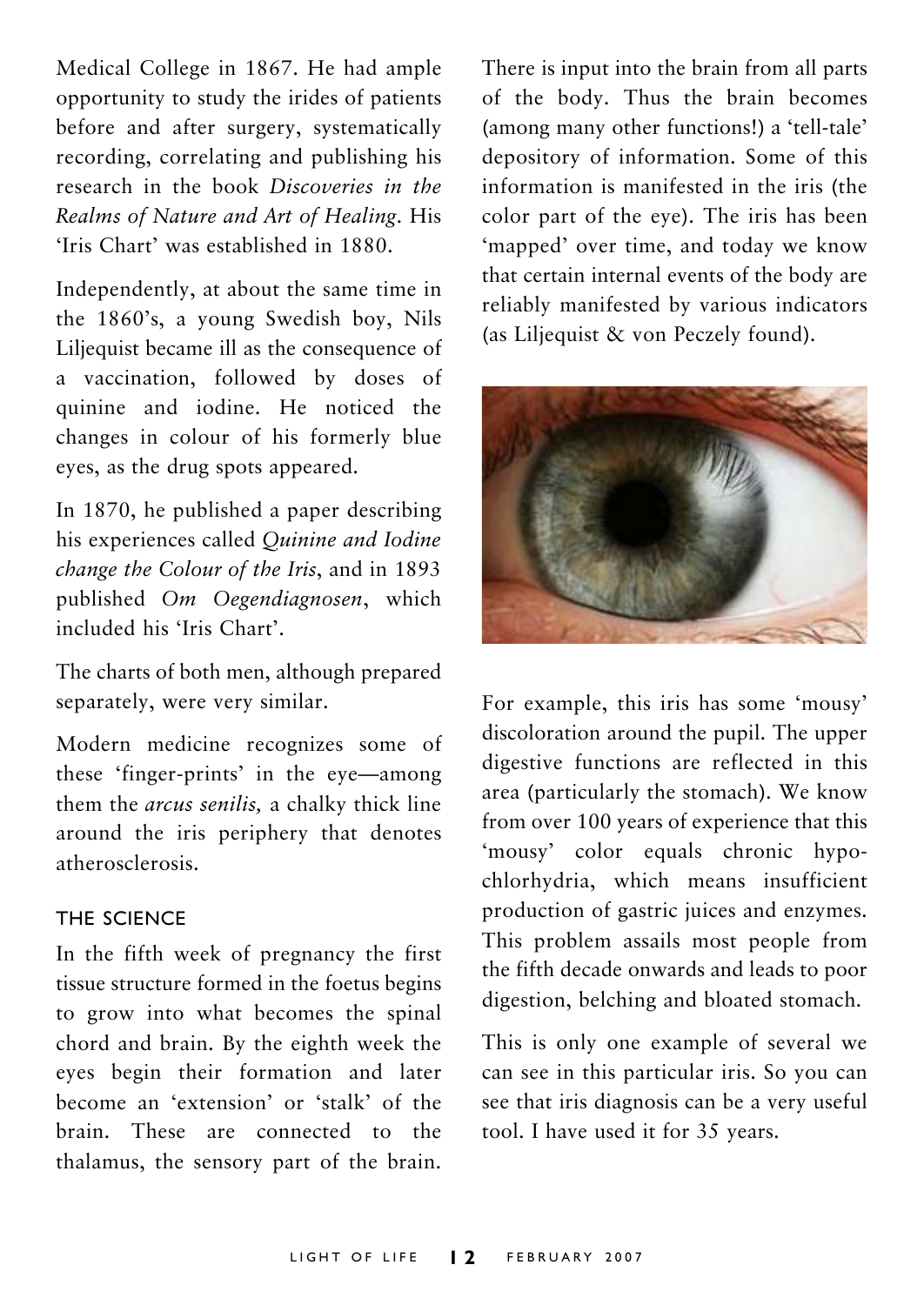Medical College in 1867. He had ample opportunity to study the irides of patients before and after surgery, systematically recording, correlating and publishing his research in the book *Discoveries in the Realms of Nature and Art of Healing*. His 'Iris Chart' was established in 1880.

Independently, at about the same time in the 1860's, a young Swedish boy, Nils Liljequist became ill as the consequence of a vaccination, followed by doses of quinine and iodine. He noticed the changes in colour of his formerly blue eyes, as the drug spots appeared.

In 1870, he published a paper describing his experiences called *Quinine and Iodine change the Colour of the Iris*, and in 1893 published *Om Oegendiagnosen*, which included his 'Iris Chart'.

The charts of both men, although prepared separately, were very similar.

Modern medicine recognizes some of these 'finger-prints' in the eye—among them the *arcus senilis,* a chalky thick line around the iris periphery that denotes atherosclerosis.

#### THE SCIENCE

In the fifth week of pregnancy the first tissue structure formed in the foetus begins to grow into what becomes the spinal chord and brain. By the eighth week the eyes begin their formation and later become an 'extension' or 'stalk' of the brain. These are connected to the thalamus, the sensory part of the brain.

There is input into the brain from all parts of the body. Thus the brain becomes (among many other functions!) a 'tell-tale' depository of information. Some of this information is manifested in the iris (the color part of the eye). The iris has been 'mapped' over time, and today we know that certain internal events of the body are reliably manifested by various indicators (as Liljequist & von Peczely found).



For example, this iris has some 'mousy' discoloration around the pupil. The upper digestive functions are reflected in this area (particularly the stomach). We know from over 100 years of experience that this 'mousy' color equals chronic hypochlorhydria, which means insufficient production of gastric juices and enzymes. This problem assails most people from the fifth decade onwards and leads to poor digestion, belching and bloated stomach.

This is only one example of several we can see in this particular iris. So you can see that iris diagnosis can be a very useful tool. I have used it for 35 years.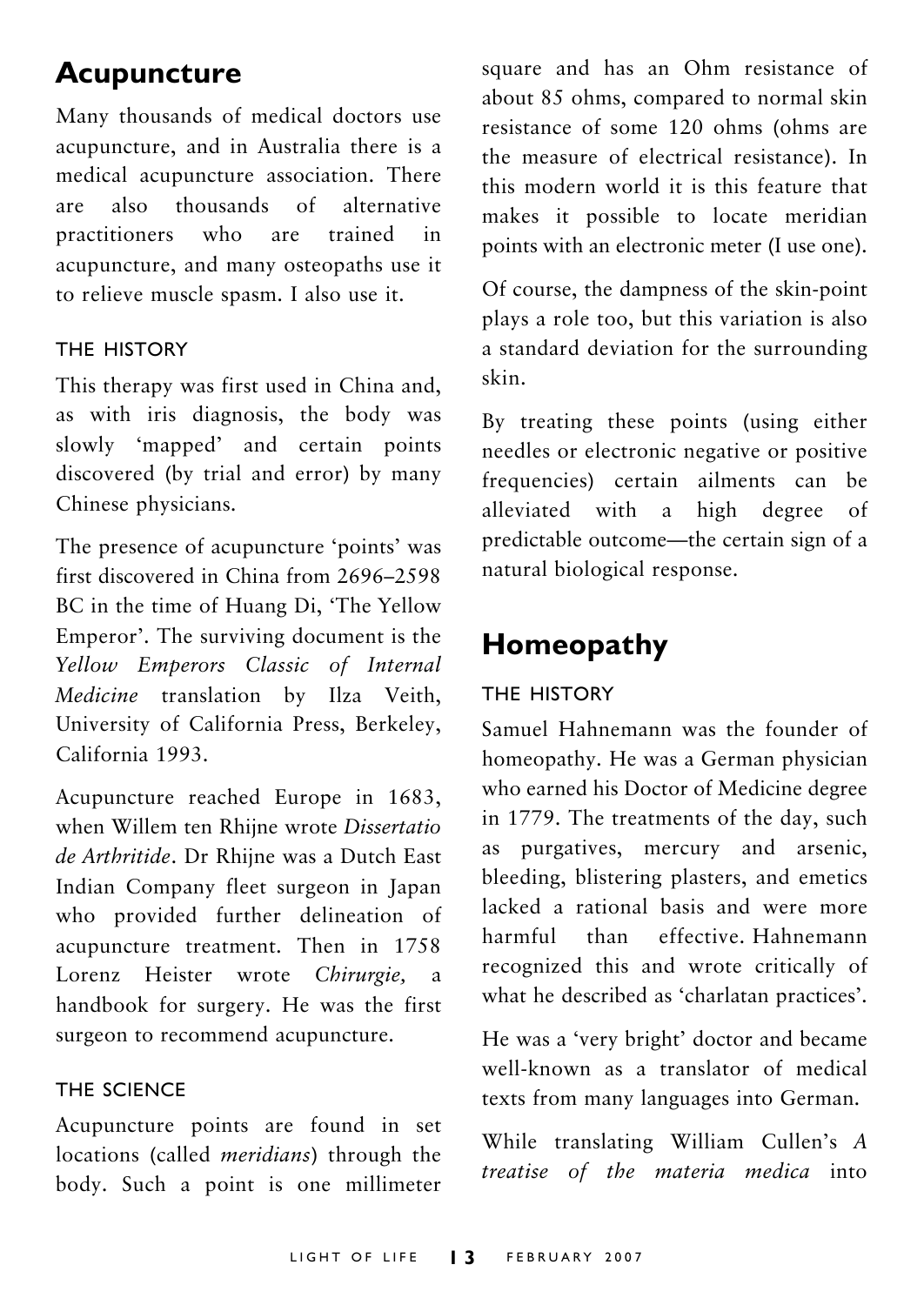## **Acupuncture**

Many thousands of medical doctors use acupuncture, and in Australia there is a medical acupuncture association. There are also thousands of alternative practitioners who are trained in acupuncture, and many osteopaths use it to relieve muscle spasm. I also use it.

#### THE HISTORY

This therapy was first used in China and, as with iris diagnosis, the body was slowly 'mapped' and certain points discovered (by trial and error) by many Chinese physicians.

The presence of acupuncture 'points' was first discovered in China from 2696–2598 BC in the time of Huang Di, 'The Yellow Emperor'. The surviving document is the *Yellow Emperors Classic of Internal Medicine* translation by Ilza Veith, University of California Press, Berkeley, California 1993.

Acupuncture reached Europe in 1683, when Willem ten Rhijne wrote *Dissertatio de Arthritide*. Dr Rhijne was a Dutch East Indian Company fleet surgeon in Japan who provided further delineation of acupuncture treatment. Then in 1758 Lorenz Heister wrote *Chirurgie,* a handbook for surgery. He was the first surgeon to recommend acupuncture.

#### THE SCIENCE

Acupuncture points are found in set locations (called *meridians*) through the body. Such a point is one millimeter square and has an Ohm resistance of about 85 ohms, compared to normal skin resistance of some 120 ohms (ohms are the measure of electrical resistance). In this modern world it is this feature that makes it possible to locate meridian points with an electronic meter (I use one).

Of course, the dampness of the skin-point plays a role too, but this variation is also a standard deviation for the surrounding skin.

By treating these points (using either needles or electronic negative or positive frequencies) certain ailments can be alleviated with a high degree of predictable outcome—the certain sign of a natural biological response.

## **Homeopathy**

#### THE HISTORY

Samuel Hahnemann was the founder of homeopathy. He was a German physician who earned his Doctor of Medicine degree in 1779. The treatments of the day, such as purgatives, mercury and arsenic, bleeding, blistering plasters, and emetics lacked a rational basis and were more harmful than effective. Hahnemann recognized this and wrote critically of what he described as 'charlatan practices'.

He was a 'very bright' doctor and became well-known as a translator of medical texts from many languages into German.

While translating William Cullen's *A treatise of the materia medica* into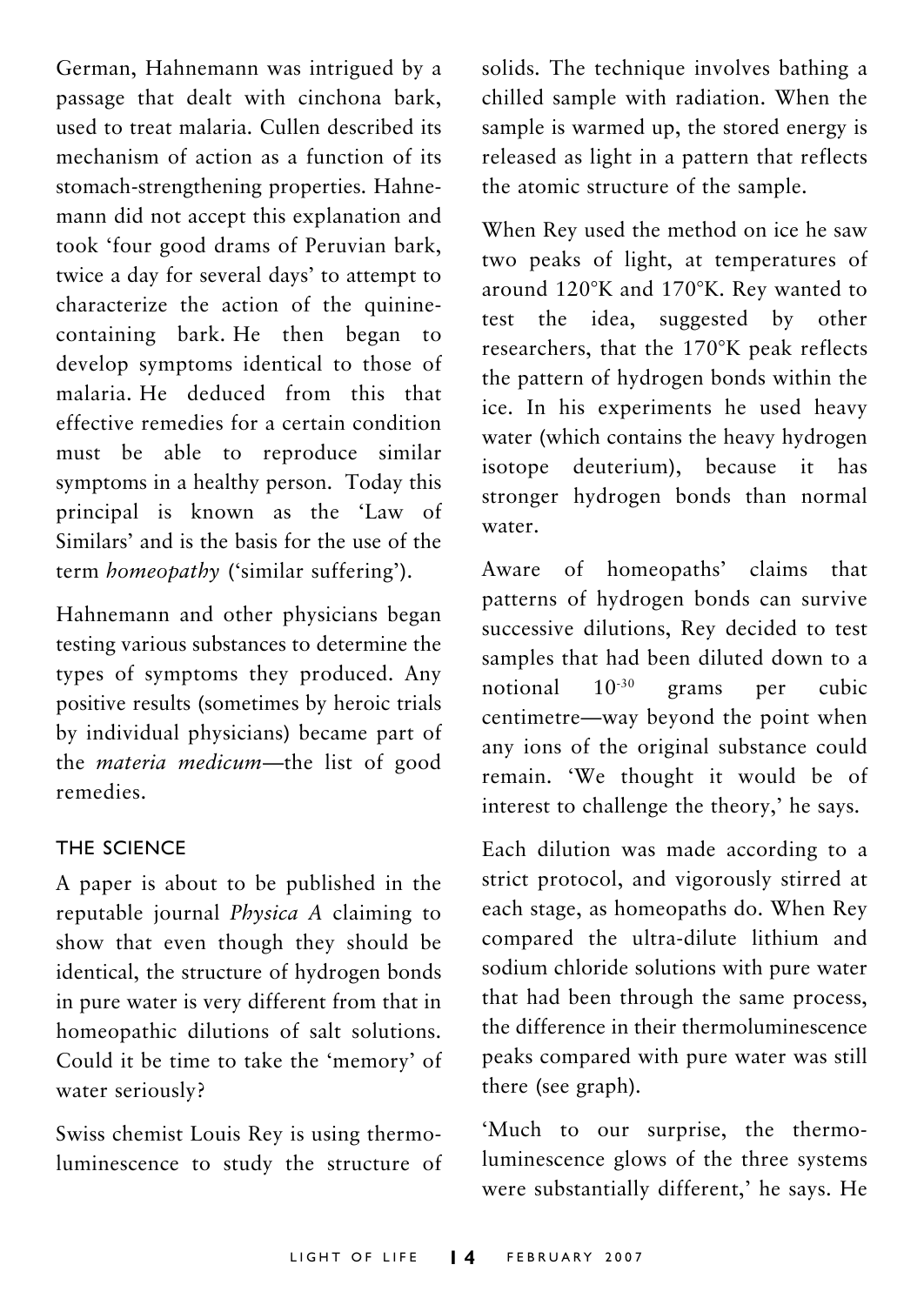German, Hahnemann was intrigued by a passage that dealt with cinchona bark, used to treat malaria. Cullen described its mechanism of action as a function of its stomach-strengthening properties. Hahnemann did not accept this explanation and took 'four good drams of Peruvian bark, twice a day for several days' to attempt to characterize the action of the quininecontaining bark. He then began to develop symptoms identical to those of malaria. He deduced from this that effective remedies for a certain condition must be able to reproduce similar symptoms in a healthy person. Today this principal is known as the 'Law of Similars' and is the basis for the use of the term *homeopathy* ('similar suffering').

Hahnemann and other physicians began testing various substances to determine the types of symptoms they produced. Any positive results (sometimes by heroic trials by individual physicians) became part of the *materia medicum*—the list of good remedies.

#### THE SCIENCE

A paper is about to be published in the reputable journal *Physica A* claiming to show that even though they should be identical, the structure of hydrogen bonds in pure water is very different from that in homeopathic dilutions of salt solutions. Could it be time to take the 'memory' of water seriously?

Swiss chemist Louis Rey is using thermoluminescence to study the structure of solids. The technique involves bathing a chilled sample with radiation. When the sample is warmed up, the stored energy is released as light in a pattern that reflects the atomic structure of the sample.

When Rey used the method on ice he saw two peaks of light, at temperatures of around 120°K and 170°K. Rey wanted to test the idea, suggested by other researchers, that the 170°K peak reflects the pattern of hydrogen bonds within the ice. In his experiments he used heavy water (which contains the heavy hydrogen isotope deuterium), because it has stronger hydrogen bonds than normal water.

Aware of homeopaths' claims that patterns of hydrogen bonds can survive successive dilutions, Rey decided to test samples that had been diluted down to a notional 10-30 grams per cubic centimetre—way beyond the point when any ions of the original substance could remain. 'We thought it would be of interest to challenge the theory,' he says.

Each dilution was made according to a strict protocol, and vigorously stirred at each stage, as homeopaths do. When Rey compared the ultra-dilute lithium and sodium chloride solutions with pure water that had been through the same process, the difference in their thermoluminescence peaks compared with pure water was still there (see graph).

'Much to our surprise, the thermoluminescence glows of the three systems were substantially different,' he says. He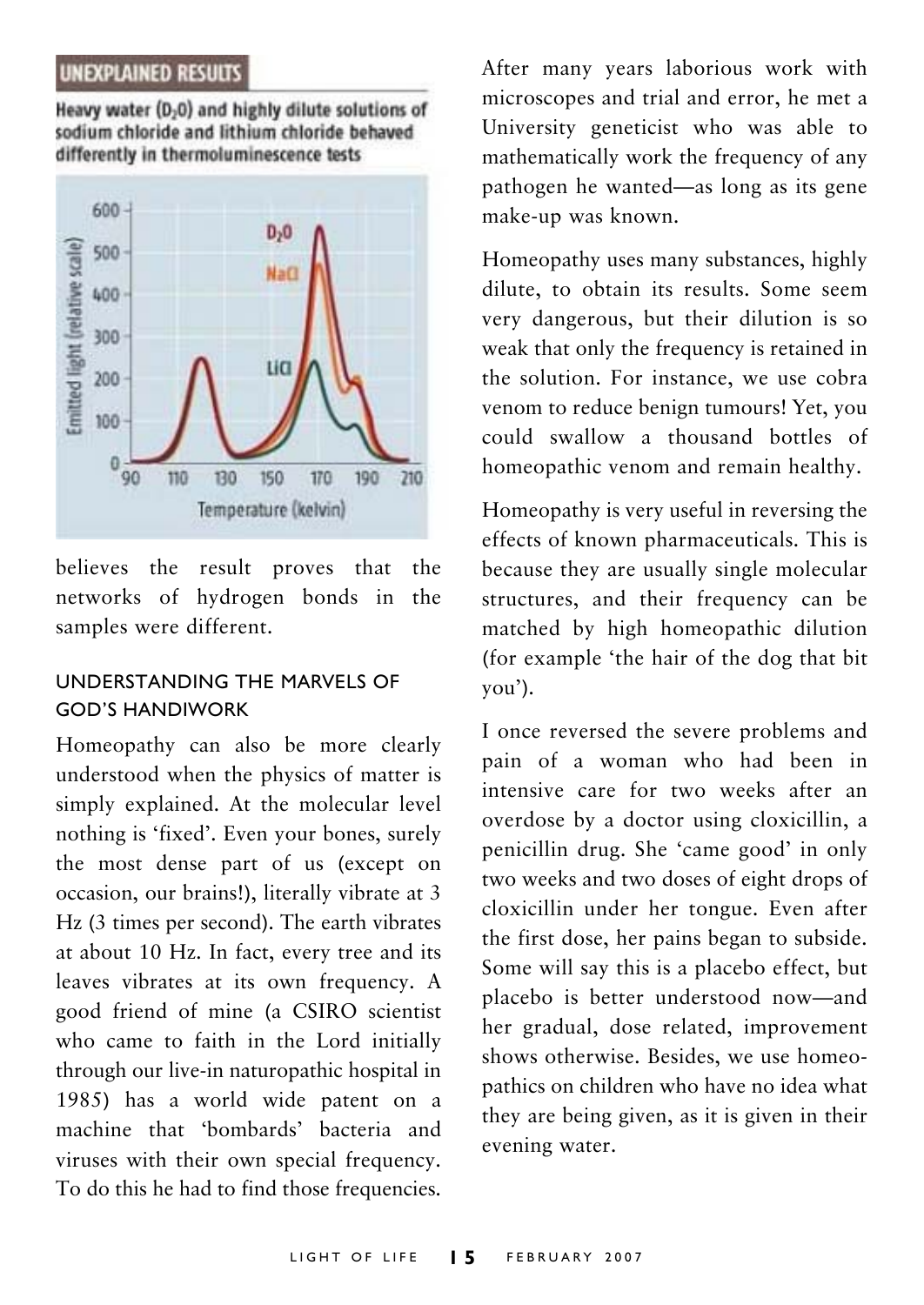#### **UNEXPLAINED RESULTS**

Heavy water (D<sub>2</sub>0) and highly dilute solutions of sodium chloride and lithium chloride behaved differently in thermoluminescence tests



believes the result proves that the networks of hydrogen bonds in the samples were different.

#### UNDERSTANDING THE MARVELS OF GOD'S HANDIWORK

Homeopathy can also be more clearly understood when the physics of matter is simply explained. At the molecular level nothing is 'fixed'. Even your bones, surely the most dense part of us (except on occasion, our brains!), literally vibrate at 3 Hz (3 times per second). The earth vibrates at about 10 Hz. In fact, every tree and its leaves vibrates at its own frequency. A good friend of mine (a CSIRO scientist who came to faith in the Lord initially through our live-in naturopathic hospital in 1985) has a world wide patent on a machine that 'bombards' bacteria and viruses with their own special frequency. To do this he had to find those frequencies.

After many years laborious work with microscopes and trial and error, he met a University geneticist who was able to mathematically work the frequency of any pathogen he wanted—as long as its gene make-up was known.

Homeopathy uses many substances, highly dilute, to obtain its results. Some seem very dangerous, but their dilution is so weak that only the frequency is retained in the solution. For instance, we use cobra venom to reduce benign tumours! Yet, you could swallow a thousand bottles of homeopathic venom and remain healthy.

Homeopathy is very useful in reversing the effects of known pharmaceuticals. This is because they are usually single molecular structures, and their frequency can be matched by high homeopathic dilution (for example 'the hair of the dog that bit you').

I once reversed the severe problems and pain of a woman who had been in intensive care for two weeks after an overdose by a doctor using cloxicillin, a penicillin drug. She 'came good' in only two weeks and two doses of eight drops of cloxicillin under her tongue. Even after the first dose, her pains began to subside. Some will say this is a placebo effect, but placebo is better understood now—and her gradual, dose related, improvement shows otherwise. Besides, we use homeopathics on children who have no idea what they are being given, as it is given in their evening water.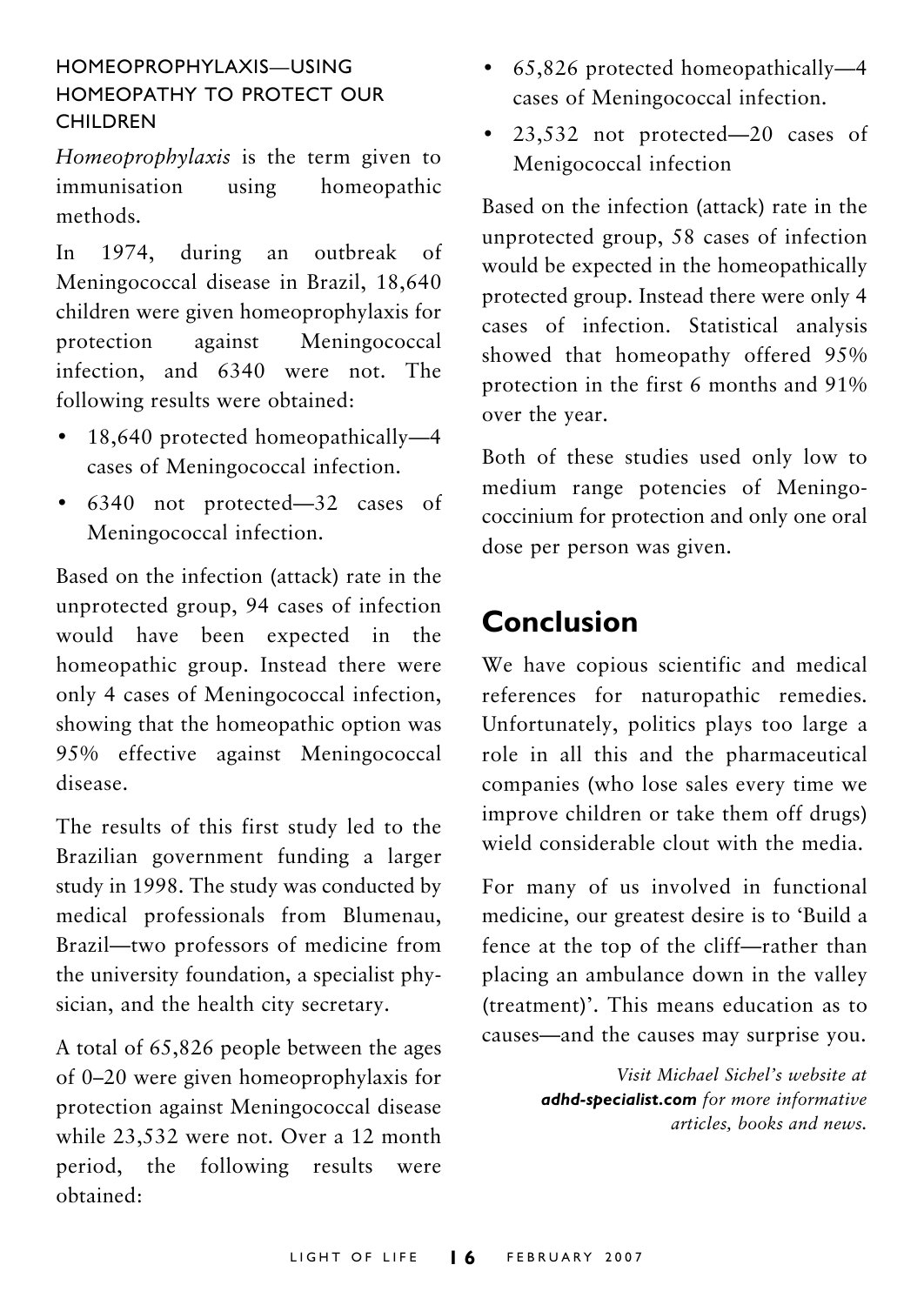#### HOMEOPROPHYLAXIS—USING HOMEOPATHY TO PROTECT OUR **CHILDREN**

*Homeoprophylaxis* is the term given to immunisation using homeopathic methods.

In 1974, during an outbreak of Meningococcal disease in Brazil, 18,640 children were given homeoprophylaxis for protection against Meningococcal infection, and 6340 were not. The following results were obtained:

- 18,640 protected homeopathically-4 cases of Meningococcal infection.
- 6340 not protected—32 cases of Meningococcal infection.

Based on the infection (attack) rate in the unprotected group, 94 cases of infection would have been expected in the homeopathic group. Instead there were only 4 cases of Meningococcal infection, showing that the homeopathic option was 95% effective against Meningococcal disease.

The results of this first study led to the Brazilian government funding a larger study in 1998. The study was conducted by medical professionals from Blumenau, Brazil—two professors of medicine from the university foundation, a specialist physician, and the health city secretary.

A total of 65,826 people between the ages of 0–20 were given homeoprophylaxis for protection against Meningococcal disease while 23,532 were not. Over a 12 month period, the following results were obtained:

- 65,826 protected homeopathically—4 cases of Meningococcal infection.
- 23,532 not protected—20 cases of Menigococcal infection

Based on the infection (attack) rate in the unprotected group, 58 cases of infection would be expected in the homeopathically protected group. Instead there were only 4 cases of infection. Statistical analysis showed that homeopathy offered 95% protection in the first 6 months and 91% over the year.

Both of these studies used only low to medium range potencies of Meningococcinium for protection and only one oral dose per person was given.

### **Conclusion**

We have copious scientific and medical references for naturopathic remedies. Unfortunately, politics plays too large a role in all this and the pharmaceutical companies (who lose sales every time we improve children or take them off drugs) wield considerable clout with the media.

For many of us involved in functional medicine, our greatest desire is to 'Build a fence at the top of the cliff—rather than placing an ambulance down in the valley (treatment)'. This means education as to causes—and the causes may surprise you.

> *Visit Michael Sichel's website at adhd-specialist.com for more informative articles, books and news.*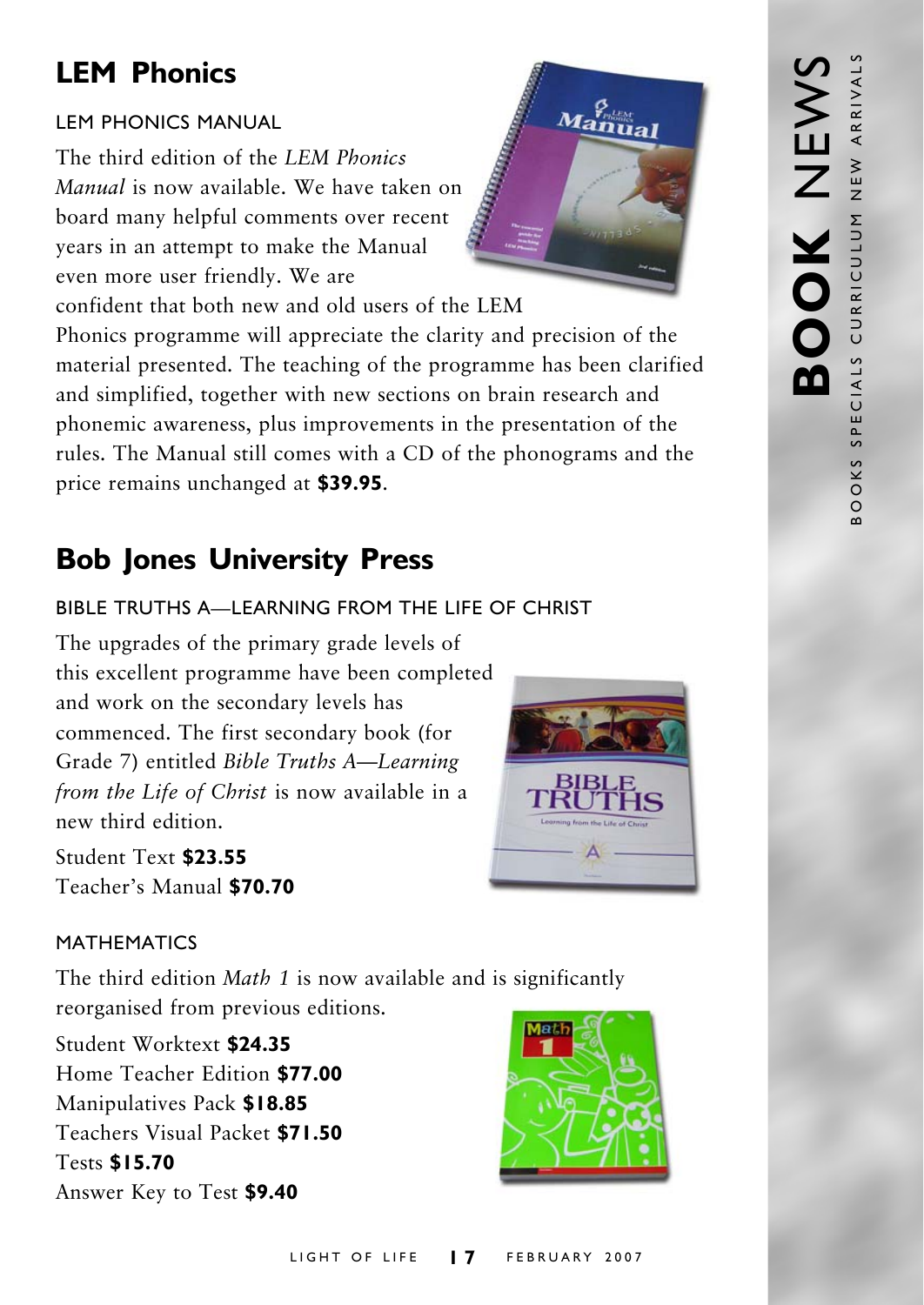## **LEM Phonics**

#### LEM PHONICS MANUAL

The third edition of the *LEM Phonics Manual* is now available. We have taken on board many helpful comments over recent years in an attempt to make the Manual even more user friendly. We are



confident that both new and old users of the LEM Phonics programme will appreciate the clarity and precision of the material presented. The teaching of the programme has been clarified and simplified, together with new sections on brain research and phonemic awareness, plus improvements in the presentation of the rules. The Manual still comes with a CD of the phonograms and the price remains unchanged at **\$39.95**.

## **Bob Jones University Press**

#### BIBLE TRUTHS A—LEARNING FROM THE LIFE OF CHRIST

The upgrades of the primary grade levels of this excellent programme have been completed and work on the secondary levels has commenced. The first secondary book (for Grade 7) entitled *Bible Truths A—Learning from the Life of Christ* is now available in a new third edition.

Student Text **\$23.55** Teacher's Manual **\$70.70**



#### MATHEMATICS

The third edition *Math 1* is now available and is significantly reorganised from previous editions.

Student Worktext **\$24.35** Home Teacher Edition **\$77.00** Manipulatives Pack **\$18.85** Teachers Visual Packet **\$71.50** Tests **\$15.70** Answer Key to Test **\$9.40**

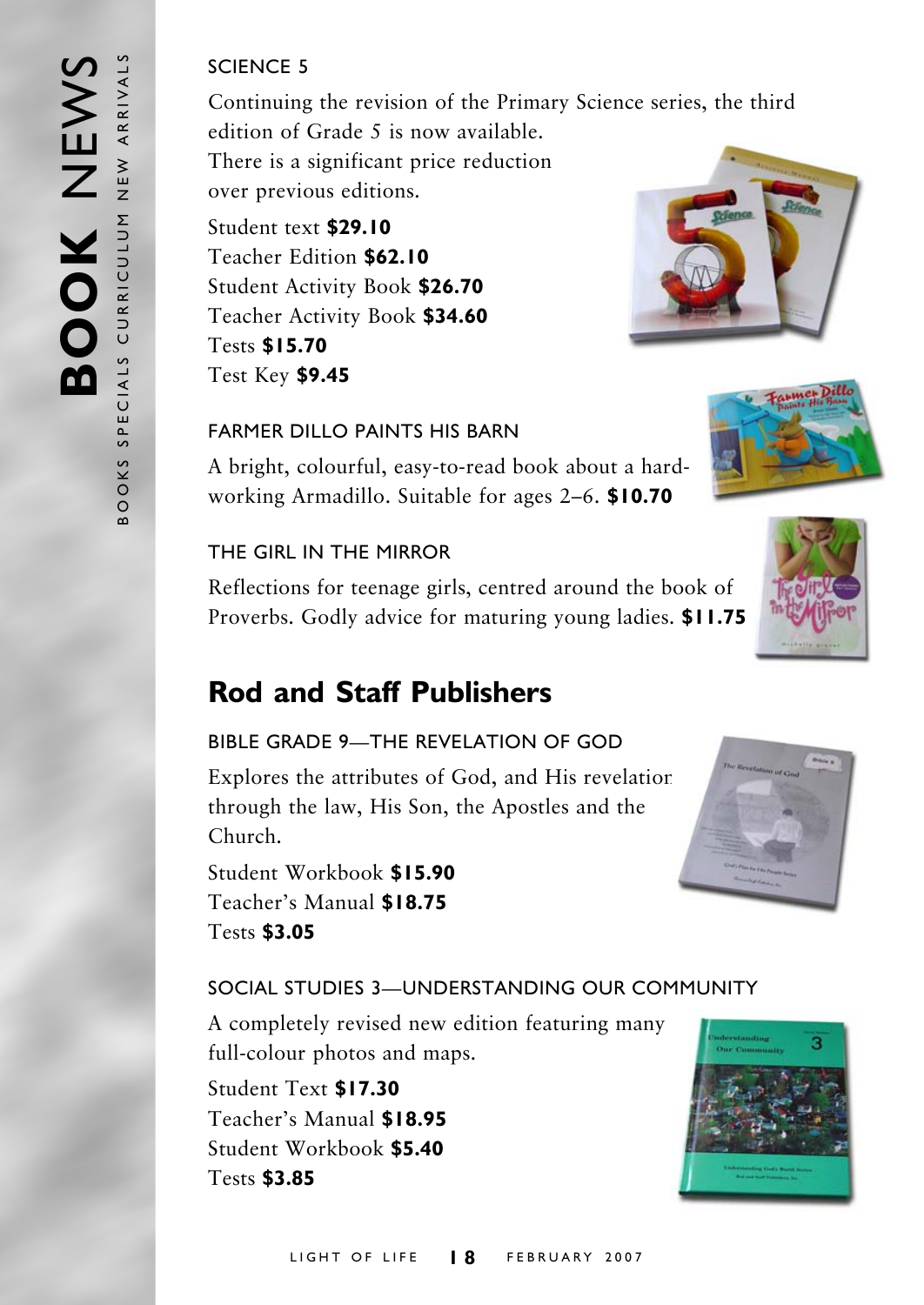#### SCIENCE 5

Continuing the revision of the Primary Science series, the third edition of Grade 5 is now available.

There is a significant price reduction over previous editions.

Student text **\$29.10** Teacher Edition **\$62.10** Student Activity Book **\$26.70** Teacher Activity Book **\$34.60** Tests **\$15.70** Test Key **\$9.45**



#### FARMER DILLO PAINTS HIS BARN

A bright, colourful, easy-to-read book about a hardworking Armadillo. Suitable for ages 2–6. **\$10.70**

#### THE GIRL IN THE MIRROR

Reflections for teenage girls, centred around the book of Proverbs. Godly advice for maturing young ladies. **\$11.75**

### **Rod and Staff Publishers**

#### BIBLE GRADE 9—THE REVELATION OF GOD

Explores the attributes of God, and His revelation through the law, His Son, the Apostles and the Church.

Student Workbook **\$15.90** Teacher's Manual **\$18.75** Tests **\$3.05**

#### SOCIAL STUDIES 3—UNDERSTANDING OUR COMMUNITY

A completely revised new edition featuring many full-colour photos and maps.

Student Text **\$17.30** Teacher's Manual **\$18.95** Student Workbook **\$5.40** Tests **\$3.85**





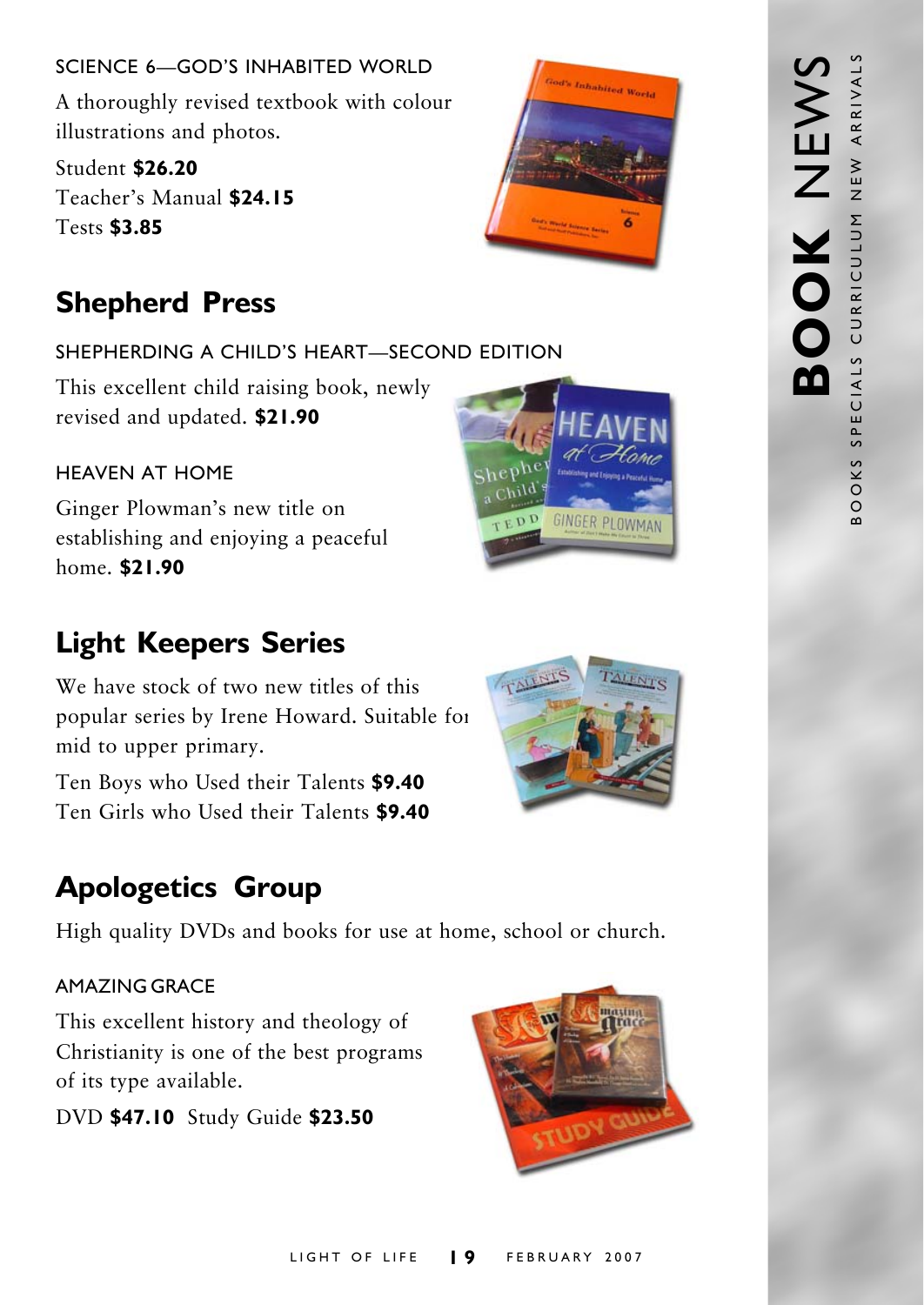SCIENCE 6—GOD'S INHABITED WORLD A thoroughly revised textbook with colour illustrations and photos.

Student **\$26.20** Teacher's Manual **\$24.15** Tests **\$3.85**

## **Shepherd Press**

SHEPHERDING A CHILD'S HEART—SECOND EDITION

This excellent child raising book, newly revised and updated. **\$21.90**

### HEAVEN AT HOME

Ginger Plowman's new title on establishing and enjoying a peaceful home. **\$21.90**

## **Light Keepers Series**

We have stock of two new titles of this popular series by Irene Howard. Suitable for mid to upper primary.

Ten Boys who Used their Talents **\$9.40** Ten Girls who Used their Talents **\$9.40**

## **Apologetics Group**

High quality DVDs and books for use at home, school or church.

#### AMAZING GRACE

This excellent history and theology of Christianity is one of the best programs of its type available.

DVD **\$47.10** Study Guide **\$23.50**



Inhabited World



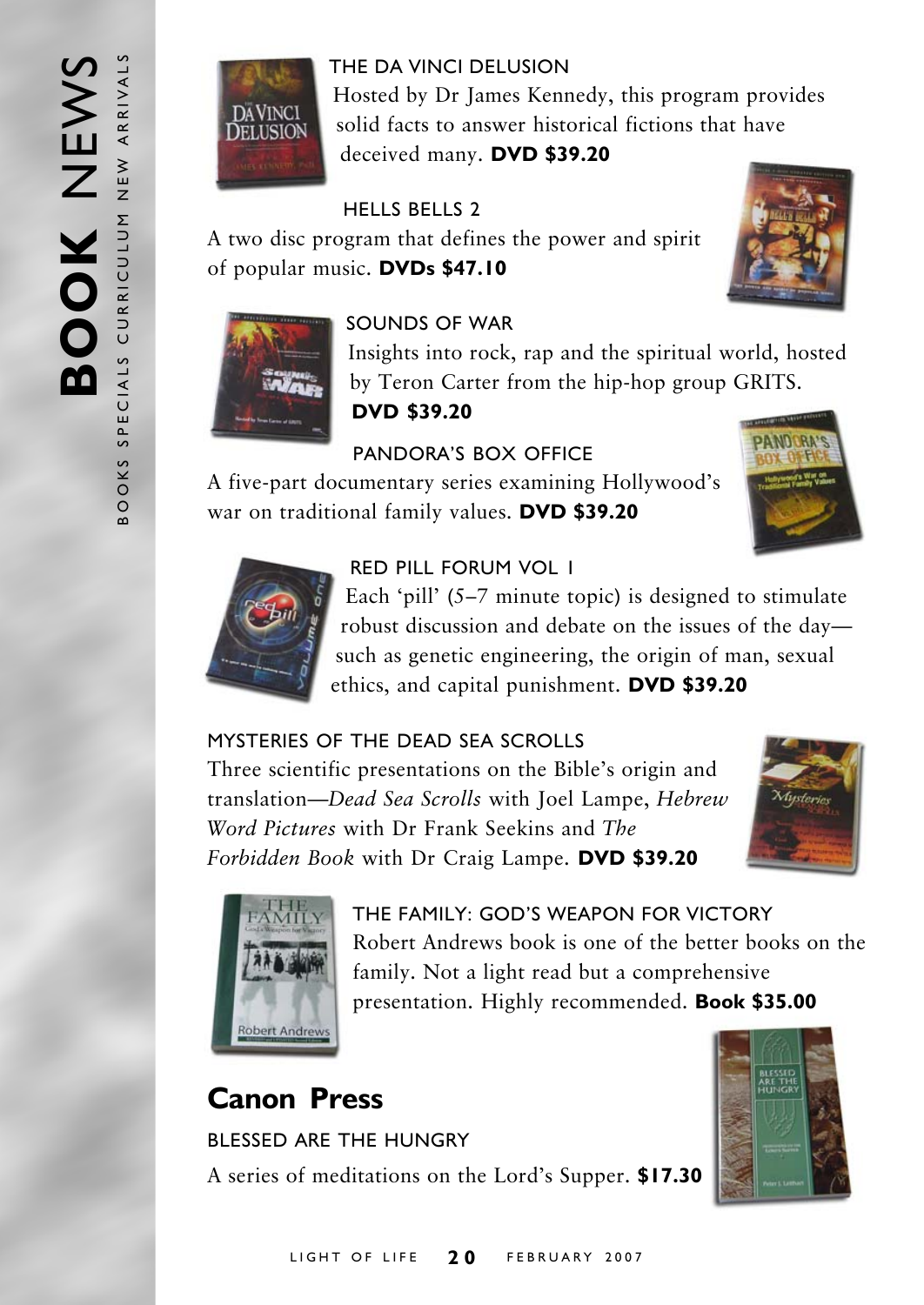

THE DA VINCI DELUSION Hosted by Dr James Kennedy, this program provides solid facts to answer historical fictions that have deceived many. **DVD \$39.20**

#### HELLS BELLS 2

A two disc program that defines the power and spirit of popular music. **DVDs \$47.10**





#### SOUNDS OF WAR

Insights into rock, rap and the spiritual world, hosted by Teron Carter from the hip-hop group GRITS.

**DVD \$39.20**

### PANDORA'S BOX OFFICE

A five-part documentary series examining Hollywood's war on traditional family values. **DVD \$39.20**





#### RED PILL FORUM VOL 1

Each 'pill' (5–7 minute topic) is designed to stimulate robust discussion and debate on the issues of the day such as genetic engineering, the origin of man, sexual ethics, and capital punishment. **DVD \$39.20**

#### MYSTERIES OF THE DEAD SEA SCROLLS

Three scientific presentations on the Bible's origin and translation—*Dead Sea Scrolls* with Joel Lampe, *Hebrew Word Pictures* with Dr Frank Seekins and *The Forbidden Book* with Dr Craig Lampe. **DVD \$39.20**





THE FAMILY: GOD'S WEAPON FOR VICTORY Robert Andrews book is one of the better books on the family. Not a light read but a comprehensive presentation. Highly recommended. **Book \$35.00**

## **Canon Press**

BLESSED ARE THE HUNGRY A series of meditations on the Lord's Supper. **\$17.30**

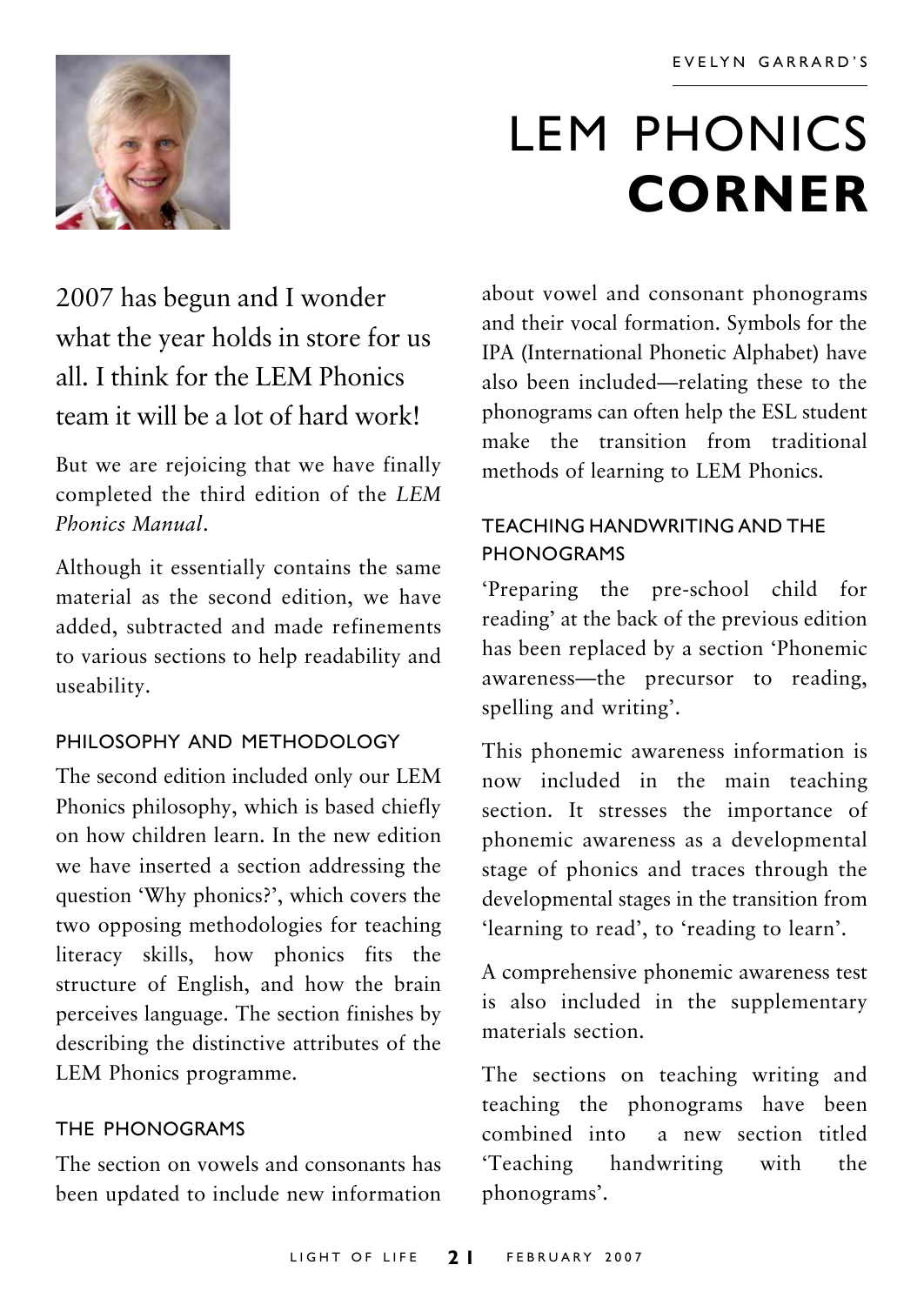

## LEM PHONICS **CORNER**

## 2007 has begun and I wonder what the year holds in store for us all. I think for the LEM Phonics team it will be a lot of hard work!

But we are rejoicing that we have finally completed the third edition of the *LEM Phonics Manual*.

Although it essentially contains the same material as the second edition, we have added, subtracted and made refinements to various sections to help readability and useability.

#### PHILOSOPHY AND METHODOLOGY

The second edition included only our LEM Phonics philosophy, which is based chiefly on how children learn. In the new edition we have inserted a section addressing the question 'Why phonics?', which covers the two opposing methodologies for teaching literacy skills, how phonics fits the structure of English, and how the brain perceives language. The section finishes by describing the distinctive attributes of the LEM Phonics programme.

#### THE PHONOGRAMS

The section on vowels and consonants has been updated to include new information about vowel and consonant phonograms and their vocal formation. Symbols for the IPA (International Phonetic Alphabet) have also been included—relating these to the phonograms can often help the ESL student make the transition from traditional methods of learning to LEM Phonics.

#### TEACHING HANDWRITING AND THE PHONOGRAMS

'Preparing the pre-school child for reading' at the back of the previous edition has been replaced by a section 'Phonemic awareness—the precursor to reading, spelling and writing'.

This phonemic awareness information is now included in the main teaching section. It stresses the importance of phonemic awareness as a developmental stage of phonics and traces through the developmental stages in the transition from 'learning to read', to 'reading to learn'.

A comprehensive phonemic awareness test is also included in the supplementary materials section.

The sections on teaching writing and teaching the phonograms have been combined into a new section titled 'Teaching handwriting with the phonograms'.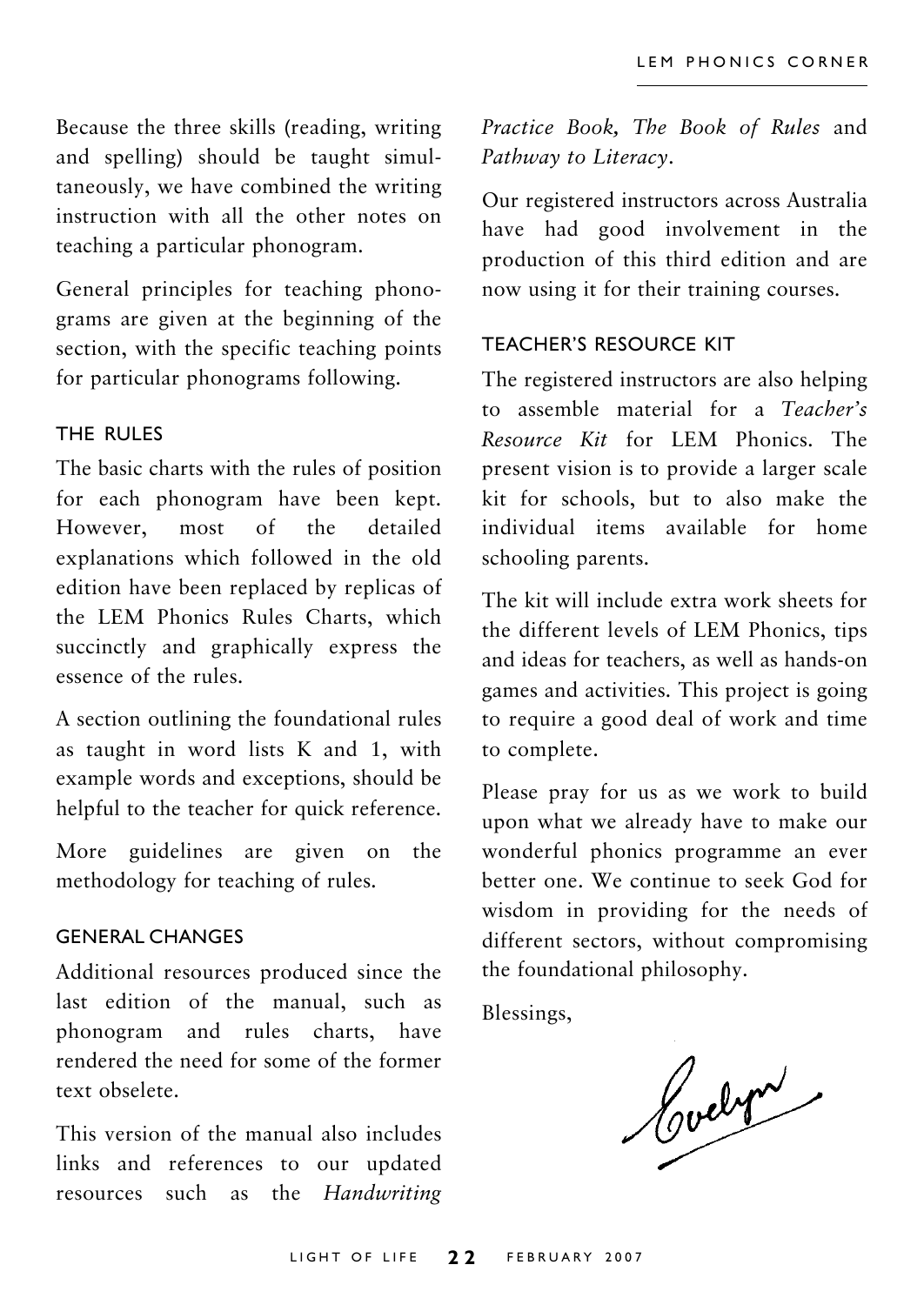Because the three skills (reading, writing and spelling) should be taught simultaneously, we have combined the writing instruction with all the other notes on teaching a particular phonogram.

General principles for teaching phonograms are given at the beginning of the section, with the specific teaching points for particular phonograms following.

#### THE RULES

The basic charts with the rules of position for each phonogram have been kept. However, most of the detailed explanations which followed in the old edition have been replaced by replicas of the LEM Phonics Rules Charts, which succinctly and graphically express the essence of the rules.

A section outlining the foundational rules as taught in word lists K and 1, with example words and exceptions, should be helpful to the teacher for quick reference.

More guidelines are given on the methodology for teaching of rules.

#### GENERAL CHANGES

Additional resources produced since the last edition of the manual, such as phonogram and rules charts, have rendered the need for some of the former text obselete.

This version of the manual also includes links and references to our updated resources such as the *Handwriting* *Practice Book, The Book of Rules* and *Pathway to Literacy*.

Our registered instructors across Australia have had good involvement in the production of this third edition and are now using it for their training courses.

#### TEACHER'S RESOURCE KIT

The registered instructors are also helping to assemble material for a *Teacher's Resource Kit* for LEM Phonics. The present vision is to provide a larger scale kit for schools, but to also make the individual items available for home schooling parents.

The kit will include extra work sheets for the different levels of LEM Phonics, tips and ideas for teachers, as well as hands-on games and activities. This project is going to require a good deal of work and time to complete.

Please pray for us as we work to build upon what we already have to make our wonderful phonics programme an ever better one. We continue to seek God for wisdom in providing for the needs of different sectors, without compromising the foundational philosophy.

Blessings,

Codet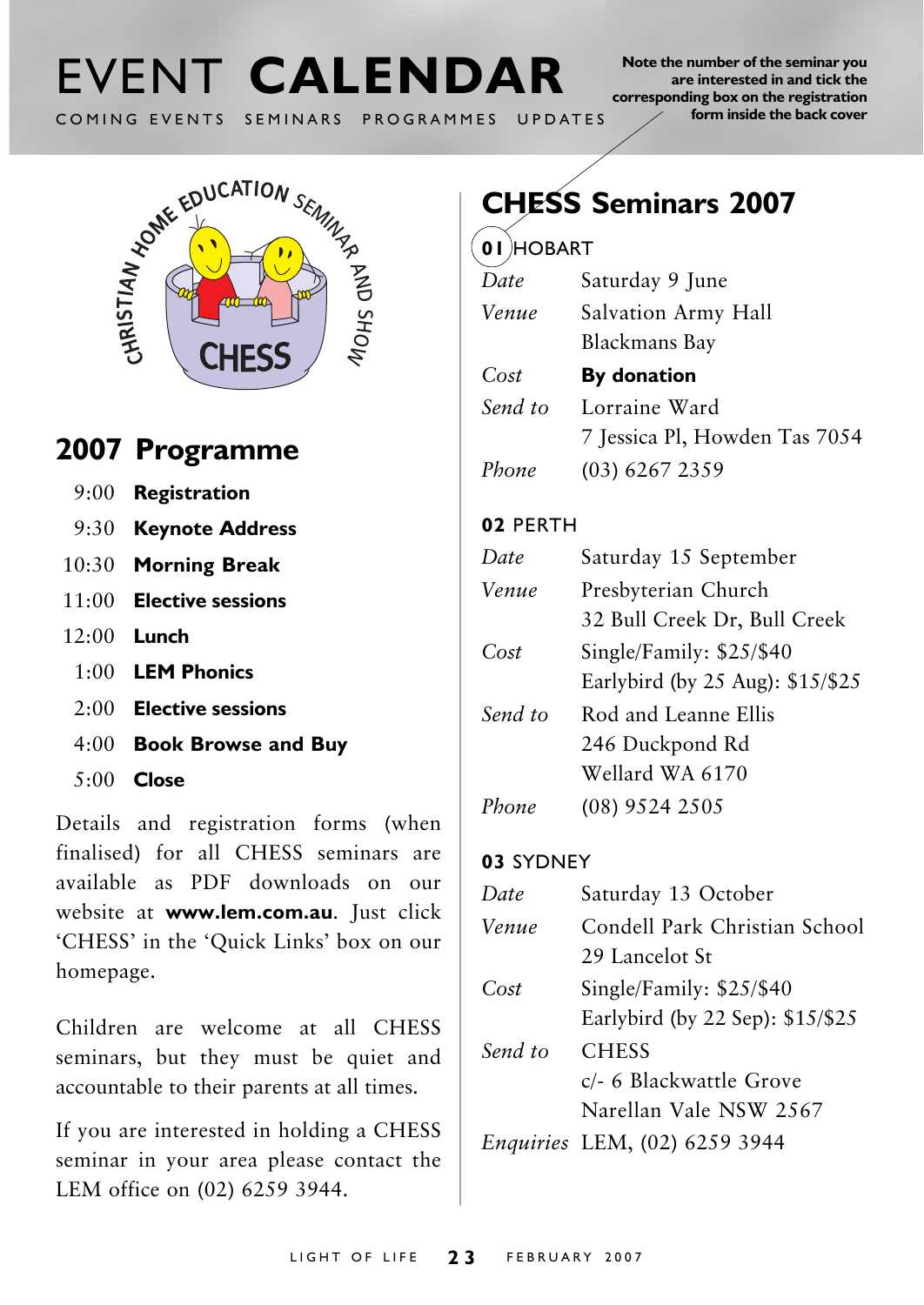# COMING EVENTS SEMINARS PROGRAMMES UPDATES

**Note the number of the seminar you are interested in and tick the corresponding box on the registration form inside the back cover**



## **2007 Programme**

- 9:00 **Registration**
- 9:30 **Keynote Address**
- 10:30 **Morning Break**
- 11:00 **Elective sessions**
- 12:00 **Lunch**
	- 1:00 **LEM Phonics**
	- 2:00 **Elective sessions**
	- 4:00 **Book Browse and Buy**
	- 5:00 **Close**

Details and registration forms (when finalised) for all CHESS seminars are available as PDF downloads on our website at **www.lem.com.au**. Just click 'CHESS' in the 'Quick Links' box on our homepage.

Children are welcome at all CHESS seminars, but they must be quiet and accountable to their parents at all times.

If you are interested in holding a CHESS seminar in your area please contact the LEM office on (02) 6259 3944.

## **CHESS Seminars 2007**

#### **01** HOBART

| Date    | Saturday 9 June               |  |
|---------|-------------------------------|--|
| Venue   | Salvation Army Hall           |  |
|         | Blackmans Bay                 |  |
| Cost    | By donation                   |  |
| Send to | Lorraine Ward                 |  |
|         | 7 Jessica Pl, Howden Tas 7054 |  |
| Phone   | $(03)$ 6267 2359              |  |

#### **02** PERTH

| Date    | Saturday 15 September            |  |
|---------|----------------------------------|--|
| Venue   | Presbyterian Church              |  |
|         | 32 Bull Creek Dr, Bull Creek     |  |
| Cost    | Single/Family: \$25/\$40         |  |
|         | Earlybird (by 25 Aug): \$15/\$25 |  |
| Send to | Rod and Leanne Ellis             |  |
|         | 246 Duckpond Rd                  |  |
|         | Wellard WA 6170                  |  |
| Phone   | (08) 9524 2505                   |  |

#### **03** SYDNEY

| Date    | Saturday 13 October                                               |  |
|---------|-------------------------------------------------------------------|--|
| Venue   | Condell Park Christian School<br>29 Lancelot St                   |  |
| Cost    | Single/Family: \$25/\$40<br>Earlybird (by 22 Sep): \$15/\$25      |  |
| Send to | <b>CHESS</b><br>c/- 6 Blackwattle Grove<br>Narellan Vale NSW 2567 |  |
|         | Enquiries LEM, (02) 6259 3944                                     |  |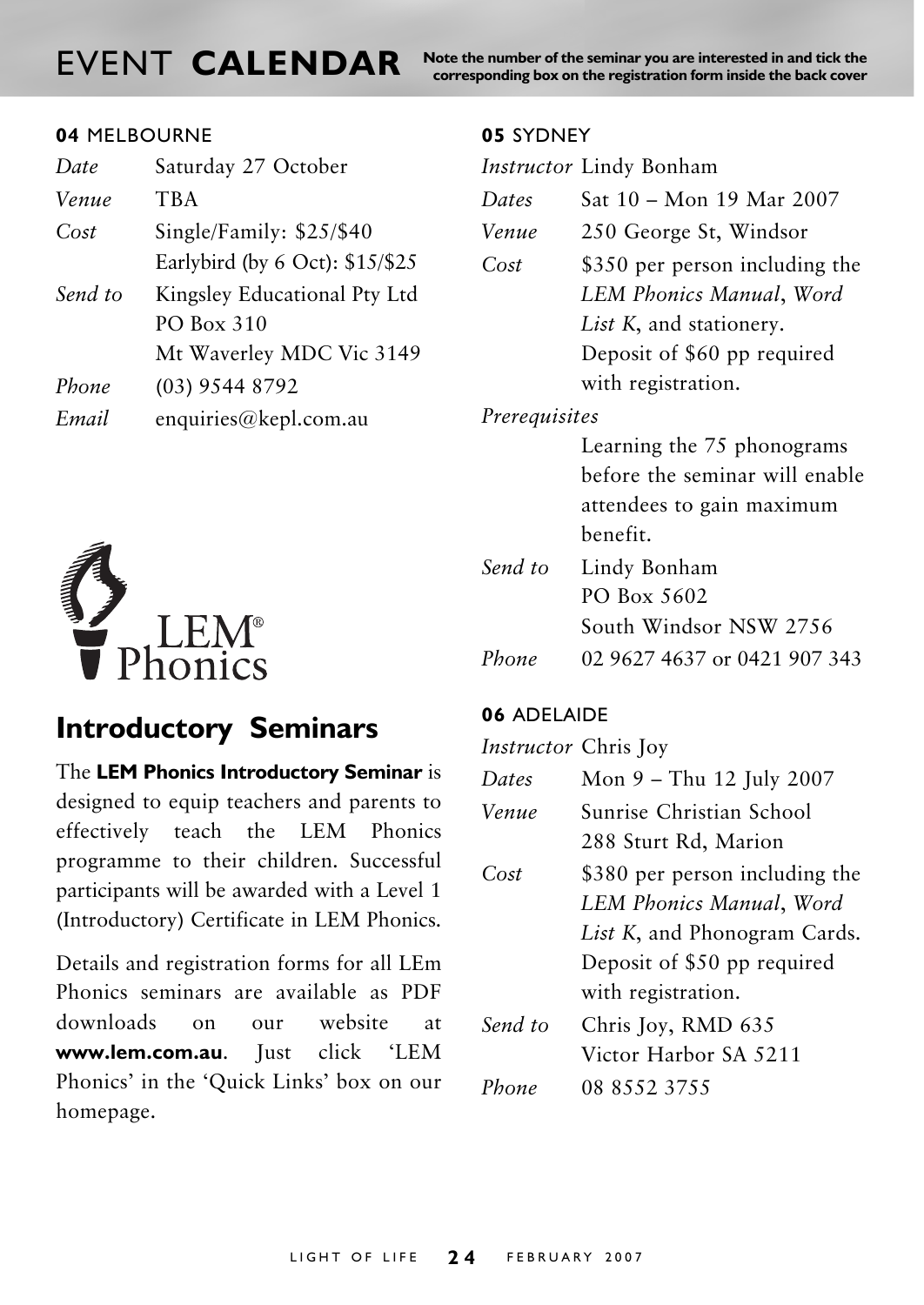**NORT CALENDAR** Note the number of the seminar you are interested in and tick the corresponding box on the registration form inside the back cover

#### **04** MELBOURNE

| Date    | Saturday 27 October             |  |
|---------|---------------------------------|--|
| Venue   | TBA                             |  |
| Cost    | Single/Family: \$25/\$40        |  |
|         | Earlybird (by 6 Oct): \$15/\$25 |  |
| Send to | Kingsley Educational Pty Ltd    |  |
|         | PO Box 310                      |  |
|         | Mt Waverley MDC Vic 3149        |  |
| Phone   | $(03)$ 9544 8792                |  |
| Email   | enquiries@kepl.com.au           |  |



### **Introductory Seminars**

The **LEM Phonics Introductory Seminar** is designed to equip teachers and parents to effectively teach the LEM Phonics programme to their children. Successful participants will be awarded with a Level 1 (Introductory) Certificate in LEM Phonics.

Details and registration forms for all LEm Phonics seminars are available as PDF downloads on our website at **www.lem.com.au**. Just click 'LEM Phonics' in the 'Quick Links' box on our homepage.

#### **05** SYDNEY

|               | Instructor Lindy Bonham         |  |
|---------------|---------------------------------|--|
| Dates         | Sat 10 – Mon 19 Mar 2007        |  |
| Venue         | 250 George St, Windsor          |  |
| Cost          | \$350 per person including the  |  |
|               | LEM Phonics Manual, Word        |  |
|               | <i>List K</i> , and stationery. |  |
|               | Deposit of \$60 pp required     |  |
|               | with registration.              |  |
| Prerequisites |                                 |  |
|               | Learning the 75 phonograms      |  |
|               | before the seminar will enable  |  |
|               | attendees to gain maximum       |  |
|               | benefit.                        |  |
| Send to       | Lindy Bonham                    |  |
|               | PO Box 5602                     |  |
|               | South Windsor NSW 2756          |  |
| Phone         | 02 9627 4637 or 0421 907 343    |  |

#### **06** ADELAIDE

| Instructor Chris Joy |                                |  |
|----------------------|--------------------------------|--|
| Dates                | Mon 9 - Thu 12 July 2007       |  |
| Venue                | Sunrise Christian School       |  |
|                      | 288 Sturt Rd, Marion           |  |
| Cost                 | \$380 per person including the |  |
|                      | LEM Phonics Manual, Word       |  |
|                      | List K, and Phonogram Cards.   |  |
|                      | Deposit of \$50 pp required    |  |
|                      | with registration.             |  |
| Send to              | Chris Joy, RMD 635             |  |
|                      | Victor Harbor SA 5211          |  |
| Phone                | 08 8552 3755                   |  |